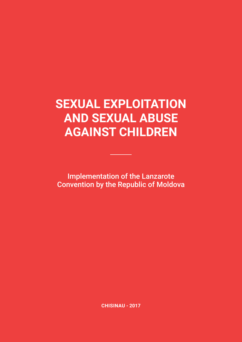## **SEXUAL EXPLOITATION AND SEXUAL ABUSE AGAINST CHILDREN**

Implementation of the Lanzarote Convention by the Republic of Moldova

**CHISINAU - 2017**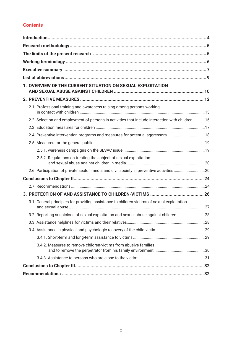## **Contents**

| 1. OVERVIEW OF THE CURRENT SITUATION ON SEXUAL EXPLOITATION                                      |  |
|--------------------------------------------------------------------------------------------------|--|
|                                                                                                  |  |
| 2.1. Professional training and awareness raising among persons working                           |  |
| 2.2. Selection and employment of persons in activities that include interaction with children 16 |  |
|                                                                                                  |  |
| 2.4. Preventive intervention programs and measures for potential aggressors 18                   |  |
|                                                                                                  |  |
|                                                                                                  |  |
| 2.5.2. Regulations on treating the subject of sexual exploitation                                |  |
| 2.6. Participation of private sector, media and civil society in preventive activities20         |  |
|                                                                                                  |  |
|                                                                                                  |  |
|                                                                                                  |  |
| 3.1. General principles for providing assistance to children-victims of sexual exploitation      |  |
| 3.2. Reporting suspicions of sexual exploitation and sexual abuse against children 28            |  |
|                                                                                                  |  |
|                                                                                                  |  |
|                                                                                                  |  |
| 3.4.2. Measures to remove children-victims from abusive families                                 |  |
|                                                                                                  |  |
|                                                                                                  |  |
|                                                                                                  |  |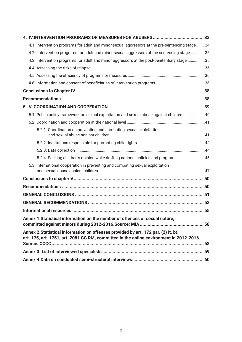| 4.1. Intervention programs for adult and minor sexual aggressors at the pre-sentencing stage34                                                                                |  |
|-------------------------------------------------------------------------------------------------------------------------------------------------------------------------------|--|
| 4.2. Intervention programs for adult and minor sexual aggressors at the sentencing stage35                                                                                    |  |
| 4.3. Intervention programs for adult and minor aggressors at the post-penitentiary stage 35                                                                                   |  |
|                                                                                                                                                                               |  |
|                                                                                                                                                                               |  |
|                                                                                                                                                                               |  |
|                                                                                                                                                                               |  |
|                                                                                                                                                                               |  |
|                                                                                                                                                                               |  |
| 5.1. Public policy framework on sexual exploitation and sexual abuse against children40                                                                                       |  |
|                                                                                                                                                                               |  |
| 5.2.1. Coordination on preventing and combating sexual exploitation                                                                                                           |  |
|                                                                                                                                                                               |  |
|                                                                                                                                                                               |  |
| 5.2.4. Seeking children's opinion while drafting national policies and programs46                                                                                             |  |
| 5.3. International cooperation in preventing and combating sexual exploitation                                                                                                |  |
|                                                                                                                                                                               |  |
|                                                                                                                                                                               |  |
|                                                                                                                                                                               |  |
|                                                                                                                                                                               |  |
|                                                                                                                                                                               |  |
| Annex 1. Statistical information on the number of offences of sexual nature,                                                                                                  |  |
| Annex 2. Statistical information on offenses provided by art. 172 par. (2) it. b),<br>art. 175, art. 1751, art. 2081 CC RM, committed in the online environment in 2012-2016. |  |
|                                                                                                                                                                               |  |
|                                                                                                                                                                               |  |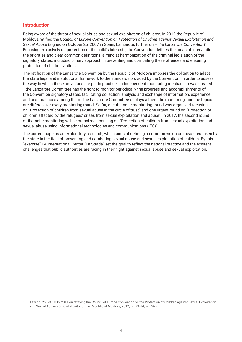#### **Introduction**

Being aware of the threat of sexual abuse and sexual exploitation of children, in 2012 the Republic of Moldova ratified the *Council of Europe Convention on Protection of Children against Sexual Exploitation and Sexual Abuse* (signed on October 25, 2007 in Spain, Lanzarote; further on – *the Lanzarote Convention*)1. Focusing exclusively on protection of the child's interests, the Convention defines the areas of intervention, the priorities and clear common definitions, aiming at harmonization of the criminal legislation of the signatory states, multidisciplinary approach in preventing and combating these offences and ensuring protection of children-victims.

The ratification of the Lanzarote Convention by the Republic of Moldova imposes the obligation to adapt the state legal and institutional framework to the standards provided by the Convention. In order to assess the way in which these provisions are put in practice, an independent monitoring mechanism was created –the Lanzarote Committee has the right to monitor periodically the progress and accomplishments of the Convention signatory states, facilitating collection, analysis and exchange of information, experience and best practices among them. The Lanzarote Committee deploys a thematic monitoring, and the topics are different for every monitoring round. So far, one thematic monitoring round was organized focusing on "Protection of children from sexual abuse in the circle of trust" and one urgent round on "Protection of children affected by the refugees' crises from sexual exploitation and abuse". In 2017, the second round of thematic monitoring will be organized, focusing on "Protection of children from sexual exploitation and sexual abuse using informational technologies and communications (ITC)".

The current paper is an exploratory research, which aims at defining a common vision on measures taken by the state in the field of preventing and combating sexual abuse and sexual exploitation of children. By this "exercise" PA International Center "La Strada" set the goal to reflect the national practice and the existent challenges that public authorities are facing in their fight against sexual abuse and sexual exploitation.

<sup>1</sup> Law no. 263 of 19.12.2011 on ratifying the Council of Europe Convention on the Protection of Children against Sexual Exploitation and Sexual Abuse. (Official Monitor of the Republic of Moldova, 2012, no. 21-24, art. 56.)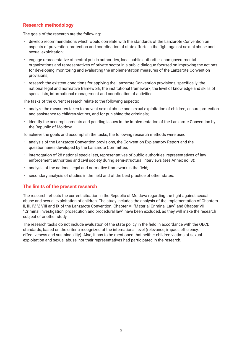## **Research methodology**

The goals of the research are the following:

- develop recommendations which would correlate with the standards of the Lanzarote Convention on aspects of prevention, protection and coordination of state efforts in the fight against sexual abuse and sexual exploitation;
- engage representative of central public authorities, local public authorities, non-governmental organizations and representatives of private sector in a public dialogue focused on improving the actions for developing, monitoring and evaluating the implementation measures of the Lanzarote Convention provisions;
- research the existent conditions for applying the Lanzarote Convention provisions, specifically: the national legal and normative framework, the institutional framework, the level of knowledge and skills of specialists, informational management and coordination of activities.

The tasks of the current research relate to the following aspects:

- analyze the measures taken to prevent sexual abuse and sexual exploitation of children, ensure protection and assistance to children-victims, and for punishing the criminals;
- identify the accomplishments and pending issues in the implementation of the Lanzarote Convention by the Republic of Moldova.

To achieve the goals and accomplish the tasks, the following research methods were used:

- analysis of the Lanzarote Convention provisions, the Convention Explanatory Report and the questionnaires developed by the Lanzarote Committee;
- interrogation of 28 national specialists, representatives of public authorities, representatives of law enforcement authorities and civil society during semi-structural interviews (see Annex no. 3);
- analysis of the national legal and normative framework in the field;
- secondary analysis of studies in the field and of the best practice of other states.

## **The limits of the present research**

The research reflects the current situation in the Republic of Moldova regarding the fight against sexual abuse and sexual exploitation of children. The study includes the analysis of the implementation of Chapters II, III, IV, V, VIII and IX of the Lanzarote Convention. Chapter VI "Material Criminal Law" and Chapter VII "Criminal investigation, prosecution and procedural law" have been excluded, as they will make the research subject of another study.

The research tasks do not include evaluation of the state policy in the field in accordance with the OECD standards, based on the criteria recognized at the international level (relevance, impact, efficiency, effectiveness and sustainability). Also, it has to be mentioned that neither children-victims of sexual exploitation and sexual abuse, nor their representatives had participated in the research.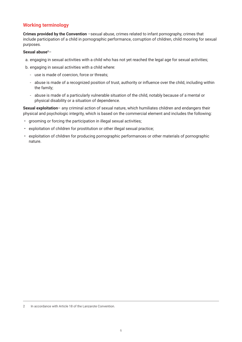## **Working terminology**

**Crimes provided by the Convention** –sexual abuse, crimes related to infant pornography, crimes that include participation of a child in pornographic performance, corruption of children, child mooring for sexual purposes.

#### **Sexual abuse**2–

- a. engaging in sexual activities with a child who has not yet reached the legal age for sexual activities;
- b. engaging in sexual activities with a child where:
	- ‐ use is made of coercion, force or threats;
	- ‐ abuse is made of a recognized position of trust, authority or influence over the child, including within the family;
	- ‐ abuse is made of a particularly vulnerable situation of the child, notably because of a mental or physical disability or a situation of dependence.

**Sexual exploitation**– any criminal action of sexual nature, which humiliates children and endangers their physical and psychologic integrity, which is based on the commercial element and includes the following:

- grooming or forcing the participation in illegal sexual activities;
- exploitation of children for prostitution or other illegal sexual practice;
- exploitation of children for producing pornographic performances or other materials of pornographic nature.

<sup>2</sup> In accordance with Article 18 of the Lanzarote Convention.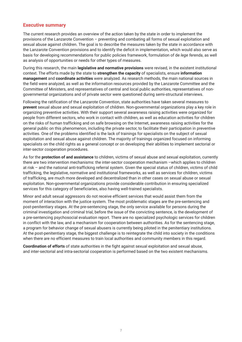#### **Executive summary**

The current research provides an overview of the action taken by the state in order to implement the provisions of the Lanzarote Convention – preventing and combating all forms of sexual exploitation and sexual abuse against children. The goal is to describe the measures taken by the state in accordance with the Lanzarote Convention provisions and to identify the deficit in implementation, which would also serve as basis for developing recommendations for public policies framework, formulation of de *lege ferenda*, as well as analysis of opportunities or needs for other types of measures.

During this research, the main **legislative and normative provisions** were revised, in the existent institutional context. The efforts made by the state to **strengthen the capacity** of specialists, ensure **information management** and **coordinate activities** were analyzed. As research methods, the main national sources in the field were analyzed, as well as the information resources provided by the Lanzarote Committee and the Committee of Ministers, and representatives of central and local public authorities, representatives of nongovernmental organizations and of private sector were questioned during semi-structural interviews.

Following the ratification of the Lanzarote Convention, state authorities have taken several measures to **prevent** sexual abuse and sexual exploitation of children. Non-governmental organizations play a key role in organizing preventive activities. With their support several awareness raising activities were organized for people from different sectors, who work in contact with children, as well as education activities for children on the risks of human trafficking and on safe browsing on the Internet, awareness raising activities for the general public on this phenomenon, including the private sector, to facilitate their participation in preventive activities. One of the problems identified is the lack of trainings for specialists on the subject of sexual exploitation and sexual abuse against children. The majority of trainings organized focused on informing specialists on the child rights as a general concept or on developing their abilities to implement sectorial or inter-sector cooperation procedures.

As for the **protection of and assistance** to children, victims of sexual abuse and sexual exploitation, currently there are two intervention mechanisms: the inter-sector cooperation mechanism –which applies to children at risk – and the national anti-trafficking referral system. Given the special status of children, victims of child trafficking, the legislative, normative and institutional frameworks, as well as services for children, victims of trafficking, are much more developed and decentralized than in other cases on sexual abuse or sexual exploitation. Non-governmental organizations provide considerable contribution in ensuring specialized services for this category of beneficiaries, also having well-trained specialists.

Minor and adult sexual aggressors do not receive efficient services that would assist them from the moment of interaction with the justice system. The most problematic stages are the pre-sentencing and post-penitentiary stages. At the pre-sentencing stage, the only service available for persons during the criminal investigation and criminal trial, before the issue of the convicting sentence, is the development of a pre-sentencing psychosocial evaluation report. There are no specialized psychologic services for children in conflict with the law, and a mechanism for cooperation between authorities. As for the sentencing stage, a program for behavior change of sexual abusers is currently being piloted in the penitentiary institutions. At the post-penitentiary stage, the biggest challenge is to reintegrate the child into society in the conditions when there are no efficient measures to train local authorities and community members in this regard.

**Coordination of efforts** of state authorities in the fight against sexual exploitation and sexual abuse, and inter-sectorial and intra-sectorial cooperation is performed based on the two existent mechanisms.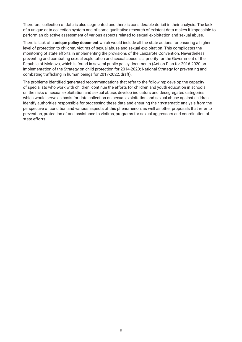Therefore, collection of data is also segmented and there is considerable deficit in their analysis. The lack of a unique data collection system and of some qualitative research of existent data makes it impossible to perform an objective assessment of various aspects related to sexual exploitation and sexual abuse.

There is lack of a **unique policy document** which would include all the state actions for ensuring a higher level of protection to children, victims of sexual abuse and sexual exploitation. This complicates the monitoring of state efforts in implementing the provisions of the Lanzarote Convention. Nevertheless, preventing and combating sexual exploitation and sexual abuse is a priority for the Government of the Republic of Moldova, which is found in several public policy documents (Action Plan for 2016-2020 on implementation of the Strategy on child protection for 2014-2020; National Strategy for preventing and combating trafficking in human beings for 2017-2022, draft).

The problems identified generated recommendations that refer to the following: develop the capacity of specialists who work with children; continue the efforts for children and youth education in schools on the risks of sexual exploitation and sexual abuse; develop indicators and desegregated categories which would serve as basis for data collection on sexual exploitation and sexual abuse against children, identify authorities responsible for processing these data and ensuring their systematic analysis from the perspective of condition and various aspects of this phenomenon, as well as other proposals that refer to prevention, protection of and assistance to victims, programs for sexual aggressors and coordination of state efforts.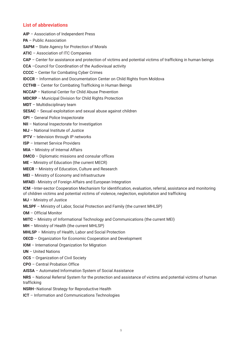## **List of abbreviations**

**AIP** – Association of Independent Press

**PA** – Public Association

**SAPM** – State Agency for Protection of Morals

**ATIC** – Association of ITC Companies

**CAP** – Center for assistance and protection of victims and potential victims of trafficking in human beings

**CCA** –Council for Coordination of the Audiovisual activity

**CCCC** – Center for Combating Cyber Crimes

**IDCCR** – Information and Documentation Center on Child Rights from Moldova

**CCTHB** – Center for Combating Trafficking in Human Beings

**NCCAP** – National Center for Child Abuse Prevention

**MDCRP** – Municipal Division for Child Rights Protection

**MDT** – Multidisciplinary team

**SESAC** – Sexual exploitation and sexual abuse against children

**GPI** – General Police Inspectorate

**NII** – National Inspectorate for Investigation

**NIJ** – National Institute of Justice

**IPTV** – television through IP networks

**ISP** – Internet Service Providers

**MIA** – Ministry of Internal Affairs

**DMCO** – Diplomatic missions and consular offices

**ME** – Ministry of Education (the current MECR)

**MECR** – Ministry of Education, Culture and Research

**MEI** – Ministry of Economy and Infrastructure

**MFAEI** - Ministry of Foreign Affairs and European Integration

**ICM** –Inter-sector Cooperation Mechanism for identification, evaluation, referral, assistance and monitoring of children victims and potential victims of violence, neglection, exploitation and trafficking

**MJ** – Ministry of Justice

**MLSPF** – Ministry of Labor, Social Protection and Family (the current MHLSP)

**OM** – Official Monitor

**MITC** – Ministry of Informational Technology and Communications (the current MEI)

**MH** – Ministry of Health (the current MHLSP)

**MHLSP** – Ministry of Health, Labor and Social Protection

**OECD** – Organization for Economic Cooperation and Development

**IOM** – International Organization for Migration

**UN** – United Nations

**OCS** – Organization of Civil Society

**CPO** – Central Probation Office

**AISSA** – Automated Information System of Social Assistance

**NRS** – National Referral System for the protection and assistance of victims and potential victims of human trafficking

**NSRH**–National Strategy for Reproductive Health

**ICT** – Information and Communications Technologies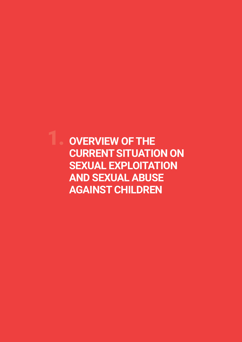1. **OVERVIEW OF THE CURRENT SITUATION ON SEXUAL EXPLOITATION AND SEXUAL ABUSE AGAINST CHILDREN**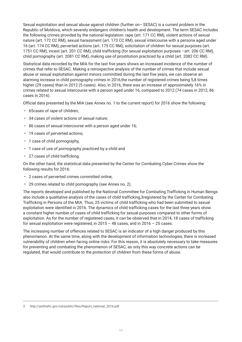Sexual exploitation and sexual abuse against children (further on– SESAC) is a current problem in the Republic of Moldova, which severely endangers children's health and development. The term SESAC includes the following crimes provided by the national legislation: rape (art. 171 CC RM), violent actions of sexual nature (art. 172 CC RM), sexual harassment (art. 173 CC RM), sexual intercourse with a persona aged under 16 (art. 174 CC RM), perverted actions (art. 175 CC RM), solicitation of children for sexual purposes (art. 1751 CC RM), incest (art. 201 CC RM), child trafficking (for sexual exploitation purposes –art. 206 CC RM), child pornography (art. 2081 CC RM), making use of prostitution practiced by a child (art. 2082 CC RM).

Statistical data recorded by the MIA for the last five years shows an increased incidence of the number of crimes that refer to SESAC. Making a retrospective analysis of the number of crimes that include sexual abuse or sexual exploitation against minors committed during the last five years, we can observe an alarming increase in child pornography crimes in 2016,the number of registered crimes being 5,8 times higher (29 cases) than in 2012 (5 cases). Also, in 2016, there was an increase of approximately 16% in crimes related to sexual intercourse with a person aged under 16, compared to 2012 (74 cases in 2012, 86 cases in 2016).

Official data presented by the MIA (see Annex no. 1 to the current report) for 2016 show the following:

- 65cases of rape of children;
- 34 cases of violent actions of sexual nature;
- 86 cases of sexual intercourse with a person aged under 16;
- 19 cases of perverted actions;
- 1 case of child pornography,
- 1 case of use of pornography practiced by a child and
- 27 cases of child trafficking.

On the other hand, the statistical data presented by the Center for Combating Cyber Crimes show the following results for 2016:

- 2 cases of perverted crimes committed online;
- 29 crimes related to child pornography (see Annex no. 2).

The reports developed and published by the National Committee for Combating Trafficking in Human Beings also include a qualitative analysis of the cases of child trafficking,3registered by the Center for Combating Trafficking in Persons of the MIA. Thus, 25 victims of child trafficking who had been submitted to sexual exploitation were identified in 2016. The dynamics of child trafficking cases for the last three years show a constant higher number of cases of child trafficking for sexual purposes compared to other forms of exploitation. As for the number of registered cases, it can be observed that in 2014, 18 cases of trafficking for sexual exploitation were registered, in  $2015 - 48$  cases, and in  $2016 - 25$  cases.

The increasing number of offences related to SESAC is an indicator of a high danger produced by this phenomenon. At the same time, along with the development of information technologies, there is increased vulnerability of children when facing online risks. For this reason, it is absolutely necessary to take measures for preventing and combating the phenomenon of SESAC, as only this way concrete actions can be regulated, that would contribute to the protection of children from these forms of abuse.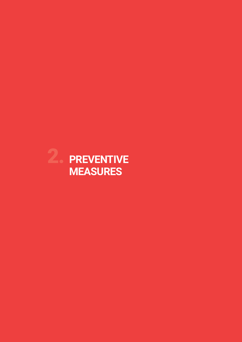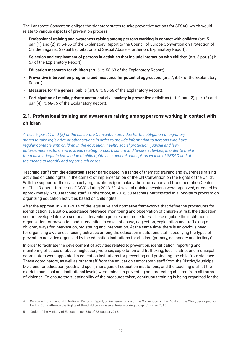The Lanzarote Convention obliges the signatory states to take preventive actions for SESAC, which would relate to various aspects of prevention process.

- **Professional training and awareness raising among persons working in contact with children** (art. 5 par. (1) and (2), it. 54-56 of the Explanatory Report to the Council of Europe Convention on Protection of Children against Sexual Exploitation and Sexual Abuse –further on: Explanatory Report).
- **Selection and employment of persons in activities that include interaction with children** (art. 5 par. (3) it. 57 of the Explanatory Report).
- **Education measures for children** (art. 6, it. 58-63 of the Explanatory Report).
- **Preventive intervention programs and measures for potential aggressors** (art. 7, it.64 of the Explanatory Report).
- **Measures for the general public** (art. 8 it. 65-66 of the Explanatory Report).
- **Participation of media, private sector and civil society in preventive activities** (art. 9 par. (2), par. (3) and par. (4), it. 68-75 of the Explanatory Report).

## **2.1. Professional training and awareness raising among persons working in contact with children**

*Article 5, par (1) and (2) of the Lanzarote Convention provides for the obligation of signatory states to take legislative or other actions in order to provide information to persons who have regular contacts with children in the education, health, social protection, judicial and lawenforcement sectors, and in areas relating to sport, culture and leisure activities, in order to make them have adequate knowledge of child rights as a general concept, as well as of SESAC and of the means to identify and report such cases.*

Teaching staff from the **education sector** participated in a range of thematic training and awareness raising activities on child rights, in the context of implementation of the UN Convention on the Rights of the Child4. With the support of the civil society organizations (particularly the Information and Documentation Center on Child Rights – further on IDCCR), during 2013-2014 several training sessions were organized, attended by approximately 5.500 teaching staff. Furthermore, in 2016, 50 teachers participated in a long-term program on organizing education activities based on child rights.

After the approval in 2001-2014 of the legislative and normative frameworks that define the procedures for identification, evaluation, assistance reference, monitoring and observation of children at risk, the education sector developed its own sectorial intervention policies and procedures. These regulate the institutional organization for prevention and intervention in cases of abuse, neglection, exploitation and trafficking of children, ways for intervention, registering and intervention. At the same time, there is an obvious need for organizing awareness raising activities among the education institutions staff, specifying the types of prevention activities organized by the education institutions for children (primary, secondary and tertiary)<sup>5</sup>.

In order to facilitate the development of activities related to prevention, identification, reporting and monitoring of cases of abuse, neglection, violence, exploitation and trafficking, local, district and municipal coordinators were appointed in education institutions for preventing and protecting the child from violence. These coordinators, as well as other staff from the education sector (both staff from the District/Municipal Divisions for education, youth and sport, managers of education institutions, and the teaching staff at the district, municipal and institutional levels),were trained in preventing and protecting children from all forms of violence. To ensure the sustainability of the measures taken, continuous training is being organized for the

<sup>4</sup> Combined fourth and fifth National Periodic Report, on implementation of the Convention on the Rights of the Child, developed for the UN Committee on the Rights of the Child by a cross-sectorial working group. Chisinau 2015.

<sup>5</sup> Order of the Ministry of Education no. 858 of 23 August 2013.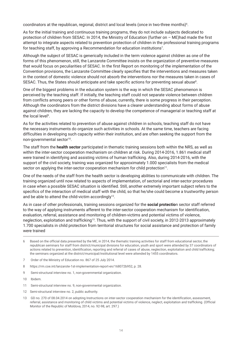coordinators at the republican, regional, district and local levels (once in two-three months) $6$ .

As for the initial training and continuous training programs, they do not include subjects dedicated to protection of children from SESAC. In 2014, the Ministry of Education (further on – ME)had made the first attempt to integrate aspects related to prevention protection of children in the professional training programs for teaching staff, by approving a Recommendation for education institutions<sup>7</sup>.

Although the subject of SESAC is generically included in the term violence against children as one of the forms of this phenomenon, still, the Lanzarote Committee insists on the organization of preventive measures that would focus on peculiarities of SESAC. In the first Report on monitoring of the implementation of the Convention provisions, the Lanzarote Committee clearly specifies that the interventions and measures taken in the context of domestic violence should not absorb the interventions nor the measures taken in cases of SESAC. Thus, the States should anticipate and take specific actions for preventing sexual abuse $^{\rm 8}$ .

One of the biggest problems in the education system is the way in which the SESAC phenomenon is perceived by the teaching staff. If initially, the teaching staff could not separate violence between children from conflicts among peers or other forms of abuse, currently, there is some progress in their perception. Although the coordinators from the district divisions have a clearer understanding about forms of abuse against children, they are lacking the capacity to develop the competence of managerial or teaching staff at the local level<sup>9</sup>.

As for the activities related to prevention of abuse against children in schools, teaching staff do not have the necessary instruments do organize such activities in schools. At the same time, teachers are facing difficulties in developing such capacity within their institution, and are often seeking the support from the non-governmental sector<sup>10</sup>.

The staff from the **health sector** participated in thematic training sessions both within the NRS, as well as within the inter-sector cooperation mechanism on children at risk. During 2014-2016, 1.861 medical staff were trained in identifying and assisting victims of human trafficking. Also, during 2014-2016, with the support of the civil society, training was organized for approximately 1.000 specialists from the medical sector on applying the inter-sector cooperation mechanism for child protection<sup>11</sup>.

One of the needs of the staff from the health sector is developing abilities to communicate with children. The training organized until now related to aspects of implementation, of sectorial and inter-sector procedures in case when a possible SESAC situation is identified. Still, another extremely important subject refers to the specifics of the interaction of medical staff with the child, so that he/she could become a trustworthy person and be able to attend the child-victim accordingly<sup>12</sup>.

As in case of other professionals, training sessions organized for the **social protectio**n sector staff referred to the way of applying instruments afferent to the inter-sector cooperation mechanism for identification, evaluation, referral, assistance and monitoring of children-victims and potential victims of violence, neglection, exploitation and trafficking<sup>13</sup>. Thus, with the support of civil society, in 2012-2013 approximately 1.700 specialists in child protection from territorial structures for social assistance and protection of family were trained

- 6 Based on the official data presented by the ME, in 2014, the thematic training activities for staff from educational sector, the republican seminars for staff from district/municipal divisions for education, youth and sport were attended by 37 coordinators of actions related to prevention, identification, reporting and referral of cases of abuse, neglection, exploitation and child trafficking; the seminars organized at the district/municipal/institutional level were attended by 1455 coordinators.
- 7 Order of the Ministry of Education no. 867 of 25 July 2014.
- 8 https://rm.coe.int/lanzarote-1st-implementation-report-en/168072b952, p. 28.
- 9 Semi-structural interview no. 1, non-governmental organization.
- 10 Ibidem.
- 11 Semi-structural interview no. 9, non-governmental organization.
- 12 Semi-structural interview no. 2, public authority.
- 13 GD no. 270 of 08.04.2014 on adopting Instructions on inter-sector cooperation mechanism for the identification, assessment, referral, assistance and monitoring of child victims and potential victims of violence, neglect, exploitation and trafficking. (Official Monitor of the Republic of Moldova, 2014, no. 92-98, art. 297.)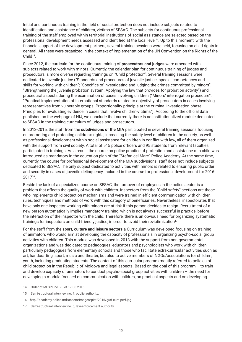Initial and continuous training in the field of social protection does not include subjects related to identification and assistance of children, victims of SESAC. The subjects for continuous professional training of the staff employed within territorial institutions of social assistance are selected based on the professional development needs assessed and identified at the local level14. Up to this moment, with the financial support of the development partners, several training sessions were held, focusing on child rights in general. All these were organized in the context of implementation of the UN Convention on the Rights of the Child<sup>15</sup>.

Since 2012, the curricula for the continuous training of **prosecutors and judges** were amended with subjects related to work with minors. Currently, the calendar plan for continuous training of judges and prosecutors is more diverse regarding trainings on "Child protection". Several training sessions were dedicated to juvenile justice ("Standards and procedures of juvenile justice: special competences and skills for working with children"; "Specifics of investigating and judging the crimes committed by minors"; "Strengthening the juvenile probation system. Applying the law that provides for probation activity") and procedural aspects during the examination of cases involving children ("Minors' interrogation procedure", "Practical implementation of international standards related to objectivity of prosecutors in cases involving representatives from vulnerable groups. Proportionality principle at the criminal investigation phase. Principles for evaluating evidence in cases that involve children-victims"). According to the official data published on the webpage of NIJ, we conclude that currently there is no institutionalized module dedicated to SESAC in the training curriculum of judges and prosecutors.

In 2013-2015, the staff from the **subdivisions of the MIA** participated in several training sessions focusing on promoting and protecting children's rights, increasing the safety level of children in the society, as well as professional development within social assistance for children in conflict with law, all of them organized with the support from civil society. A total of 515 police officers and 95 students from relevant faculties participated in trainings. As a result, the course on police practice of protection and assistance of a child was introduced as mandatory in the education plan of the "Stefan cel Mare" Police Academy. At the same time, currently, the course for professional development of the MIA subdivisions' staff does not include subjects dedicated to SESAC. The only subject dedicated to activities with minors is related to ensuring public order and security in cases of juvenile delinquency, included in the course for professional development for 2016- 201716.

Beside the lack of a specialized course on SESAC, the turnover of employees in the police sector is a problem that affects the quality of work with children. Inspectors from the "Child safety" sections are those who implements child protection mechanisms and were trained in efficient communication with children, rules, techniques and methods of work with this category of beneficiaries. Nevertheless, inspectorates that have only one inspector working with minors are at risk if this person decides to resign. Recruitment of a new person automatically implies mandatory training, which is not always successful in practice, before the interaction of the inspector with the child. Therefore, there is an obvious need for organizing systematic trainings for inspectors on child-friendly justice, in order to avoid their revictimization17.

For the staff from the **sport, culture and leisure sectors** a Curriculum was developed focusing on training of animators who would aim at developing the capacity of professionals in organizing psycho-social group activities with children. This module was developed in 2013 with the support from non-governmental organizations and was dedicated to pedagogues, educators and psychologists who work with children, particularly pedagogues from elementary schools and those who facilitate extra-curricular activities such as art, handcrafting, sport, music and theater, but also to active members of NGOs/associations for children, youth, including graduating students. The content of this curricular program mostly referred to policies of child protection in the Republic of Moldova and legal aspects. Based on the goal of this program – to train and develop capacity of animators to conduct psycho-social group activities with children – the need for developing a module focused on communication with children, on practical aspects and on developing

17 Semi-structural interview no. 5, law-enforcement authority.

<sup>14</sup> Order of MLSPF no. 90 of 17.06.2015.

<sup>15</sup> Semi-structural interview no. 7, public authority.

<sup>16</sup> http://academy.police.md/assets/images/pict/2016/graf-curs-perf.jpg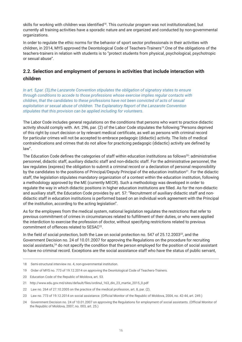skills for working with children was identified<sup>18</sup>. This curricular program was not institutionalized, but currently all training activities have a sporadic nature and are organized and conducted by non-governmental organizations.

In order to regulate the ethic norms for the behavior of sport sector professionals in their activities with children, in 2014, MYS approved the Deontological Code of Teachers-Trainers<sup>19</sup>. One of the obligations of the teachers-trainers in relation with students is to "protect students from physical, psychological, psychotropic or sexual abuse".

## **2.2. Selection and employment of persons in activities that include interaction with children**

*In art. 5,par. (3),the Lanzarote Convention stipulates the obligation of signatory states to ensure through conditions to accede to those professions whose exercise implies regular contacts with children, that the candidates to these professions have not been convicted of acts of sexual exploitation or sexual abuse of children. The Explanatory Report of the Lanzarote Convention stipulates that this provision can be applied including for volunteers.*

The Labor Code includes general regulations on the conditions that persons who want to practice didactic activity should comply with. Art. 296, par. (2) of the Labor Code stipulates the following:"Persons deprived of this right by court decision or by relevant medical certificate, as well as persons with criminal record for particular crimes will not be accepted to embrace pedagogic (didactic) activity. The lists of medical contraindications and crimes that do not allow for practicing pedagogic (didactic) activity are defined by law".

The Education Code defines the categories of staff within education institutions as follows<sup>20</sup>: administrative personnel, didactic staff, auxiliary didactic staff and non-didactic staff. For the administrative personnel, the law regulates (express) the obligation to submit a criminal record or a declaration of personal responsibility by the candidates to the positions of Principal/Deputy Principal of the education institution<sup>21</sup>. For the didactic staff, the legislation stipulates mandatory organization of a contest within the education institution, following a methodology approved by the ME (currently MECR). Such a methodology was developed in order to regulate the way in which didactic positions in higher education institutions are filled. As for the non-didactic and auxiliary staff, the Education Code provides by art. 57: "Recruitment of auxiliary didactic staff and nondidactic staff in education institutions is performed based on an individual work agreement with the Principal of the institution, according to the acting legislation".

As for the employees from the medical system, national legislation regulates the restrictions that refer to previous commitment of crimes in circumstances related to fulfillment of their duties, or who were applied the interdiction to exercise the profession of doctor, without specifying restrictions related to previous commitment of offences related to SESAC<sup>22</sup>.

In the field of social protection, both the Law on social protection no. 547 of 25.12.2003<sup>23</sup>, and the Government Decision no. 24 of 10.01.2007 for approving the Regulations on the procedure for recruiting social assistants,<sup>24</sup> do not specify the condition that the person employed for the position of social assistant to have no criminal record. Exceptions are the social assistance staff who have the status of public servant,

<sup>18</sup> Semi-structural interview no. 4, non-governmental institution.

<sup>19</sup> Order of MYS no. 773 of 19.12.2014 on approving the Deontological Code of Teachers-Trainers.

<sup>20</sup> Education Code of the Republic of Moldova, art. 53.

<sup>21</sup> http://www.edu.gov.md/sites/default/files/ordinul\_163\_din\_23\_martie\_2015\_0.pdf

<sup>22</sup> Law no. 264 of 27.10.2005 on the practice of the medical profession, art. 8, par. (2).

<sup>23</sup> Law no. 773 of 19.12.2014 on social assistance. (Official Monitor of the Republic of Moldova, 2004, no. 42-44, art. 249.)

<sup>24</sup> Government Decision no. 24 of 10.01.2007 on approving the Regulations for employment of social assistants. (Official Monitor of the Republic of Moldova, 2007, no. 003, art. 25.)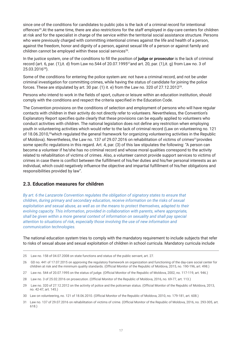since one of the conditions for candidates to public jobs is the lack of a criminal record for intentional offences25.At the same time, there are also restrictions for the staff employed in day-care centers for children at risk and for the specialist in charge of the service within the territorial social assistance structure. Persons who were previously charged with committing intentional crimes against the life and health of a person, against the freedom, honor and dignity of a person, against sexual life of a person or against family and children cannot be employed within these social services<sup>26</sup>.

In the justice system, one of the conditions to fill the position of **judge or prosecutor** is the lack of criminal record (art. 6, par. (1),it. d) from Law no.544 of 20.07.199527and art. 20, par. (1),it. g) from Law no. 3 of 25.03.201628).

Some of the conditions for entering the police system are: not have a criminal record, and not be under criminal investigation for committing crimes, while having the status of candidate for joining the police forces. These are stipulated by art. 30 par. (1) it. e) from the Law no. 320 of 27.12.201229.

Persons who intend to work in the fields of sport, culture or leisure within an education institution, should comply with the conditions and respect the criteria specified in the Education Code.

The Convention provisions on the conditions of selection and employment of persons who will have regular contacts with children in their activity do not directly refer to volunteers. Nevertheless, the Convention's Explanatory Report specifies quite clearly that these provisions can be equally applied to volunteers who conduct activities with children. The national legislation does not define any restriction when employing youth in volunteering activities which would refer to the lack of criminal record (Law on volunteering no. 121 of 18.06.2010,<sup>30</sup>which regulated the general framework for organizing volunteering activities in the Republic of Moldova). Nevertheless, the Law no. 137 of 29.07.2016 on rehabilitation of victims of crimes<sup>31</sup>provides some specific regulations in this regard. Art. 4, par. (3) of this law stipulates the following: "A person can become a volunteer if he/she has no criminal record and whose moral qualities correspond to the activity related to rehabilitation of victims of crimes. Also, a volunteer cannot provide support services to victims of crimes in case there is conflict between the fulfillment of his/her duties and his/her personal interests as an individual, which could negatively influence the objective and impartial fulfillment of his/her obligations and responsibilities provided by law".

#### **2.3. Education measures for children**

*By art. 6 the Lanzarote Convention regulates the obligation of signatory states to ensure that children, during primary and secondary education, receive information on the risks of sexual exploitation and sexual abuse, as well as on the means to protect themselves, adapted to their evolving capacity. This information, provided in collaboration with parents, where appropriate, shall be given within a more general context of information on sexuality and shall pay special attention to situations of risk, especially those involving the use of new information and communication technologies.*

The national education system tries to comply with the mandatory requirement to include subjects that refer to risks of sexual abuse and sexual exploitation of children in school curricula. Mandatory curricula include

- 27 Law no. 544 of 20.07.1995 on the status of judge. (Official Monitor of the Republic of Moldova, 2002, no. 117-119, art. 946.)
- 28 Law no. 3 of 25.02.2016 on prosecution. (Official Monitor of the Republic of Moldova, 2016, no. 69-77, art. 113.)
- 29 Law no. 320 of 27.12.2012 on the activity of police and the policeman status. (Official Monitor of the Republic of Moldova, 2013, no. 42-47, art. 145.)

31 Law no. 137 of 29.07.2016 on rehabilitation of victims of crime. (Official Monitor of the Republic of Moldova, 2016, no. 293-305, art. 618.)

<sup>25</sup> Law no. 158 of 04.07.2008 on state functions and status of the public servant, art. 27.

<sup>26</sup> GD no. 441 of 17.07.2015 on approving the regulatory framework on organization and functioning of the day-care social center for children at risk and the minimum quality standards. (Official Monitor of the Republic of Moldova, 2015, no. 190-196, art. 498.)

<sup>30</sup> Law on volunteering, no. 121 of 18.06.2010. (Official Monitor of the Republic of Moldova, 2010, no. 179-181, art. 608.)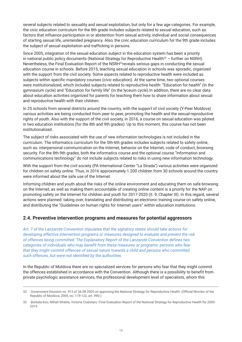several subjects related to sexuality and sexual exploitation, but only for a few age categories. For example, the civic education curriculum for the 8th grade includes subjects related to sexual education, such as: factors that influence participation in or abstention from sexual activity, individual and social consequences of starting sexual life, unintended pregnancy. Also, the civic education curriculum for the 9th grade includes the subject of sexual exploitation and trafficking in persons.

Since 2005, integration of the sexual education subject in the education system has been a priority in national public policy documents (National Strategy for Reproductive Health $32 -$  further on NSRH). Nevertheless, the Final Evaluation Report of the NSRH<sup>33</sup>reveals serious gaps in conducting the sexual education course in schools. Before 2015, teaching sexual education in schools was sporadic, organized with the support from the civil society. Some aspects related to reproductive health were included as subjects within specific mandatory courses (civic education). At the same time, two optional courses were institutionalized, which included subjects related to reproductive health: "Education for health" (in the gymnasium cycle) and "Education for family life" (in the lyceum cycle).In addition, there are no clear data about education activities organized for parents for teaching them how to share information about sexual and reproductive health with their children.

In 25 schools from several districts around the country, with the support of civil society (Y-Peer Moldova) various activities are being conducted from peer to peer, promoting the health and the sexual-reproductive rights of youth. Also with the support of the civil society, in 2016, a course on sexual education was piloted in two education institutions (for the 8th and 9th grades). Up to this moment, this course has not been institutionalized.

The subject of risks associated with the use of new information technologies is not included in the curriculum. The informatics curriculum for the 5th-6th grades includes subjects related to safety online, such as: interpersonal communication on the Internet, behavior on the Internet, code of conduct, browsing security. For the 8th-9th grades, both the informatics course and the optional course "Information and communications technology" do not include subjects related to risks in using new information technology.

With the support from the civil society (PA International Center "La Strada") various activities were organized for children on safety online. Thus, in 2016 approximately 1.200 children from 30 schools around the country were informed about the safe use of the Internet.

Informing children and youth about the risks of the online environment and educating them on safe browsing on the Internet, as well as making them accountable of creating online content is a priority for the NAP on promoting safety on the Internet for children and youth for 2017-2020 (it. 9, Chapter III). In this regard, several actions were planned: taking over, translating and distributing an electronic training course on safety online, and distributing the "Guidelines on human rights for Internet users" within education institutions.

#### **2.4. Preventive intervention programs and measures for potential aggressors**

*Art. 7 of the Lanzarote Convention stipulates that the signatory states should take actions for developing effective intervention programs or measures designed to evaluate and prevent the risk of offences being committed. The Explanatory Report of the Lanzarote Convention defines two categories of individuals who may benefit from these measures or programs: persons who fear that they might commit offences of sexual nature towards a child and persons who committed such offences, but were not identified by the authorities.*

In the Republic of Moldova there are no specialized services for persons who fear that they might commit the offences established in accordance with the Convention. Although there is a possibility to benefit from private psychologic assistance services, the professional development level of specialists, whom this

<sup>32</sup> Government Decision no. 913 of 26.08.2005 on approving the National Strategy for Reproductive Health. (Official Monitor of the Republic of Moldova, 2005, no. 119-122, art. 990.)

<sup>33</sup> Borbala Koo, Mihail Stratila, Victoria Ciubotaru. Final Evaluation Report of the National Strategy for Reproductive Health for 2005- 2015.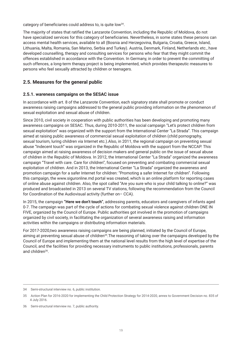category of beneficiaries could address to, is quite low<sup>34</sup>.

The majority of states that ratified the Lanzarote Convention, including the Republic of Moldova, do not have specialized services for this category of beneficiaries. Nevertheless, in some states these persons can access mental health services, available to all (Bosnia and Herzegovina, Bulgaria, Croatia, Greece, Island, Lithuania, Malta, Romania, San Marino, Serbia and Turkey). Austria, Denmark, Finland, Netherlands etc., have developed counselling, therapy and consulting services for persons who fear that they might commit the offences established in accordance with the Convention. In Germany, in order to prevent the committing of such offences, a long-term therapy project is being implemented, which provides therapeutic measures to persons who feel sexually attracted by children or teenagers.

## **2.5. Measures for the general public**

#### **2.5.1. wareness campaigns on the SESAC issue**

In accordance with art. 8 of the Lanzarote Convention, each signatory state shall promote or conduct awareness raising campaigns addressed to the general public providing information on the phenomenon of sexual exploitation and sexual abuse of children.

Since 2010, civil society in cooperation with public authorities has been developing and promoting many awareness campaigns on SESAC. Thus, during 2010-2011, the social campaign "Let's protect children from sexual exploitation" was organized with the support from the International Center "La Strada". This campaign aimed at raising public awareness of commercial sexual exploitation of children (child pornography, sexual tourism, luring children via Internet etc.).Also, in 2011, the regional campaign on preventing sexual abuse "Indecent touch" was organized in the Republic of Moldova with the support from the NCCAP. This campaign aimed at raising awareness of decision makers and general public on the issue of sexual abuse of children in the Republic of Moldova. In 2012, the International Center "La Strada" organized the awareness campaign "Travel with care. Care for children", focused on preventing and combating commercial sexual exploitation of children. And in 2013, the International Center "La Strada" organized the awareness and promotion campaign for a safer Internet for children: "Promoting a safer Internet for children". Following this campaign, the www.siguronline.md portal was created, which is an online platform for reporting cases of online abuse against children. Also, the spot called "Are you sure who is your child talking to online?" was produced and broadcasted in 2013 on several TV stations, following the recommendation from the Council for Coordination of the Audiovisual activity (further on– CCA).

In 2015, the campaign **"Here we don't touch"**, addressing parents, educators and caregivers of infants aged 0-7. The campaign was part of the cycle of actions for combating sexual violence against children ONE IN FIVE, organized by the Council of Europe. Public authorities got involved in the promotion of campaigns organized by civil society, in facilitating the organization of several awareness raising and information activities within the campaigns or distributing information materials.

For 2017-2020,two awareness raising campaigns are being planned, initiated by the Council of Europe, aiming at preventing sexual abuse of children<sup>35</sup>. The reasoning of taking over the campaigns developed by the Council of Europe and implementing them at the national level results from the high level of expertise of the Council, and the facilities for providing necessary instruments to public institutions, professionals, parents and children<sup>36</sup>.

<sup>34</sup> Semi-structural interview no. 6, public institution.

<sup>35</sup> Action Plan for 2016-2020 for implementing the Child Protection Strategy for 2014-2020, annex to Government Decision no. 835 of 4 July 2016.

<sup>36</sup> Semi-structural interview no. 7, public authority.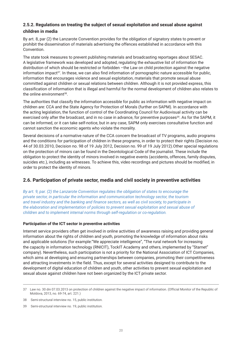#### **2.5.2. Regulations on treating the subject of sexual exploitation and sexual abuse against children in media**

By art. 8, par (2) the Lanzarote Convention provides for the obligation of signatory states to prevent or prohibit the dissemination of materials advertising the offences established in accordance with this Convention.

The state took measures to prevent publishing materials and broadcasting reportages about SESAC. A legislative framework was developed and adopted, regulating the exhaustive list of information the distribution of which should be restricted or forbidden -the Law on child protection against the negative information impact<sup>37</sup>. In these, we can also find information of pornographic nature accessible for public, information that encourages violence and sexual exploitation, materials that promote sexual abuse committed against children or sexual relations between children. Although it is not provided express, this classification of information that is illegal and harmful for the normal development of children also relates to the online environment $38$ .

The authorities that classify the information accessible for public as information with negative impact on children are: CCA and the State Agency for Protection of Morals (further on SAPM). In accordance with the acting legislation, the function of control of the Coordinating Council for Audiovisual activity can be exercised only after the broadcast, and in no case in advance, for preventive purposes<sup>39</sup>. As for the SAPM, it can be informed, or it can take self-notice, but in any case, SAPM only exercises consultative function and cannot sanction the economic agents who violate the morality.

Several decisions of a normative nature of the CCA concern the broadcast of TV programs, audio programs and the conditions for participation of children in these programs, in order to protect their rights (Decision no. 44 of 30.03.2010, Decision no. 98 of 19 July 2012, Decision no. 99 of 19 July 2012).Other special regulations on the protection of minors can be found in the Deontological Code of the journalist. These include the obligation to protect the identity of minors involved in negative events (accidents, offences, family disputes, suicides etc.), including as witnesses. To achieve this, video recordings and pictures should be modified, in order to protect the identity of minors.

#### **2.6. Participation of private sector, media and civil society in preventive activities**

*By art. 9, par. (2) the Lanzarote Convention regulates the obligation of states to encourage the private sector, in particular the information and communication technology sector, the tourism and travel industry and the banking and finance sectors, as well as civil society, to participate in the elaboration and implementation of policies to prevent sexual exploitation and sexual abuse of children and to implement internal norms through self-regulation or co-regulation.*

#### **Participation of the ICT sector in preventive activities**

Internet service providers often get involved in online activities of awareness raising and providing general information about the rights of children and youth, promoting the knowledge of information about risks and applicable solutions (for example:"We appreciate intelligence", "The rural network for increasing the capacity in information technology (RNICIT), TockIT Academy and others, implemented by "Starnet" company). Nevertheless, such participation is not a priority for the National Association of ICT Companies, which aims at developing and ensuring partnerships between companies, promoting their competitiveness and attracting investments in the field. Thus, except for several activities designed to contribute to the development of digital education of children and youth, other activities to prevent sexual exploitation and sexual abuse against children have not been organized by the ICT private sector.

<sup>37</sup> Law no. 30 din 07.03.2013 on protection of children against the negative impact of information. (Official Monitor of the Republic of Moldova, 2013, no. 69-74, art. 221.)

<sup>38</sup> Semi-structural interview no. 15, public institution.

<sup>39</sup> Semi-structural interview no. 19, public institution.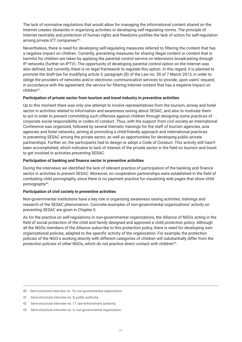The lack of normative regulations that would allow for managing the informational content shared on the Internet creates obstacles in organizing activities or developing self-regulating norms. The principle of Internet neutrality and protection of human rights and freedoms justifies the lack of action for self-regulation among private ICT companies<sup>40</sup>.

Nevertheless, there is need for developing self-regulating measures referred to filtering the content that has a negative impact on children. Currently, preventing measures for sharing illegal content or content that is harmful for children are taken by applying the parental control service on televisions broadcasting through IP networks (further on IPTV). The opportunity of developing parental control option on the Internet was also defined, but currently, there is no legal framework to regulate this option. In this regard, it is planned to promote the draft-law for modifying article 5, paragraph (8) of the Law no. 30 of 7 March 2013, in order to oblige the providers of networks and/or electronic communication services to provide, upon users' request, in accordance with the agreement, the service for filtering Internet content that has a negative impact on children41.

#### **Participation of private sector from tourism and travel industry in preventive activities**

Up to this moment there was only one attempt to involve representatives from the tourism, airway and hotel sector in activities related to information and awareness raising about SESAC, and also to motivate them to act in order to prevent committing such offences against children through designing some practices of corporate social responsibility or codes of conduct. Thus, with the support from civil society an International Conference was organized, followed by several thematic trainings for the staff of tourism agencies, avia agencies and hotel networks, aiming at promoting a child-friendly approach and international practices in preventing SESAC among the private sector, as well as opportunities for developing public-private partnerships. Further on, the participants had to design or adopt a Code of Conduct. This activity still hasn't been accomplished, which indicates to lack of interest of the private sector in the field on tourism and travel to get involved in activities preventing SESAC.

#### **Participation of banking and finance sector in preventive activities**

During the interviews we identified the lack of relevant practice of participation of the banking and finance sector in activities to prevent SESAC. Moreover, no cooperation partnerships were established in the field of combating child pornography, since there is no payment practice for visualizing web pages that show child pornography<sup>42</sup>.

#### **Participation of civil society in preventive activities**

Non-governmental institutions have a key role in organizing awareness raising activities, trainings and research of the SESAC phenomenon. Concrete examples of non-governmental organizations' activity on preventing SESAC are given in Chapter II.

As for the practice on self-regulations in non-governmental organizations, the Alliance of NGOs acting in the field of social protection of the child and family designed and approved a child protection policy. Although all the NGOs members of the Alliance subscribe to this protection policy, there is need for developing own organizational policies, adapted to the specific activity of the organization. For example, the protection policies of the NGO-s working directly with different categories of children will substantially differ from the protection policies of other NGOs, which do not practice direct contact with children43.

<sup>40</sup> Semi-structural interview no. 18, non-governmental organization.

<sup>41</sup> Semi-structural interview no. 8, public authority.

<sup>42</sup> Semi-structural interview no. 17, law-enforcement authority.

<sup>43</sup> Semi-structural interview no. 4, non-governmental organization.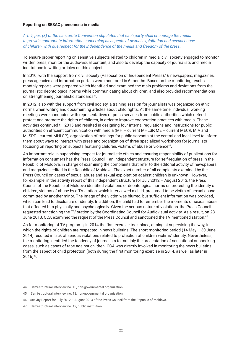#### **Reporting on SESAC phenomena in media**

*Art. 9, par. (3) of the Lanzarote Convention stipulates that each party shall encourage the media to provide appropriate information concerning all aspects of sexual exploitation and sexual abuse of children, with due respect for the independence of the media and freedom of the press.*

To ensure proper reporting on sensitive subjects related to children in media, civil society engaged to monitor written press, monitor the audio-visual content, and also to develop the capacity of journalists and media institutions in writing articles on this subject.

In 2010, with the support from civil society (Association of Independent Press),16 newspapers, magazines, press agencies and information portals were monitored in 6 months. Based on the monitoring results monthly reports were prepared which identified and examined the main problems and deviations from the journalistic deontological norms while communicating about children, and also provided recommendations on strengthening journalistic standards<sup>44</sup>.

In 2012, also with the support from civil society, a training session for journalists was organized on ethic norms when writing and documenting articles about child rights. At the same time, individual working meetings were conducted with representatives of press services from public authorities which defend, protect and promote the rights of children, in order to improve cooperation practices with media. These activities continued till 2015 and resulted in designing four internal regulations and instructions for public authorities on efficient communication with media (MH – current MHLSP, ME – current MECR, MIA and MLSPF –current MHLSP), organization of trainings for public servants at the central and local level to inform them about ways to interact with press and organization of three specialized workshops for journalists focusing on reporting on subjects featuring children, victims of abuse or violence<sup>45</sup>.

An important role in supervising respect for journalistic ethics and ensuring responsibility of publications for information consumers has the Press Council –an independent structure for self-regulation of press in the Republic of Moldova, in charge of examining the complaints that refer to the editorial activity of newspapers and magazines edited in the Republic of Moldova. The exact number of all complaints examined by the Press Council on cases of sexual abuse and sexual exploitation against children is unknown. However, for example, in the activity report of this independent structure for July 2012 – August 2013, the Press Council of the Republic of Moldova identified violations of deontological norms on protecting the identity of children, victims of abuse by a TV station, which interviewed a child, presumed to be victim of sexual abuse committed by another minor. The image of the victim was blurred, but sufficient information was provided, which can lead to disclosure of identity. In addition, the child had to remember the moments of sexual abuse that affected him physically and psychologically. Given the serious nature of violations, the Press Council requested sanctioning the TV station by the Coordinating Council for Audiovisual activity. As a result, on 28 June 2013, CCA examined the request of the Press Council and sanctioned the TV mentioned station.<sup>46</sup>

As for monitoring of TV programs, in 2014 the first exercise took place, aiming at supervising the way, in which the rights of children are respected in news bulletins. The short monitoring period (14 May – 30 June 2014) resulted in lack of serious violations related to protection of children victims' identity. Nevertheless, the monitoring identified the tendency of journalists to multiply the presentation of sensational or shocking cases, such as cases of rape against children. CCA was directly involved in monitoring the news bulletins from the aspect of child protection (both during the first monitoring exercise in 2014, as well as later in 2016)47.

<sup>44</sup> Semi-structural interview no. 13, non-governmental organization.

<sup>45</sup> Semi-structural interview no. 13, non-governmental organization.

<sup>46</sup> Activity Report for July 2012 – August 2013 of the Press Council from the Republic of Moldova.

<sup>47</sup> Semi-structural interview no. 19, public institution.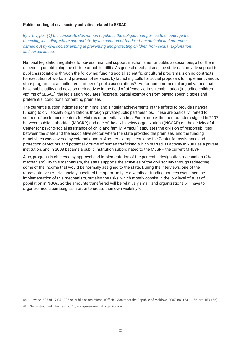#### **Public funding of civil society activities related to SESAC**

*By art. 9, par. (4) the Lanzarote Convention regulates the obligation of parties to encourage the financing, including, where appropriate, by the creation of funds, of the projects and programs carried out by civil society aiming at preventing and protecting children from sexual exploitation and sexual abuse.*

National legislation regulates for several financial support mechanisms for public associations, all of them depending on obtaining the statute of public utility. As general mechanisms, the state can provide support to public associations through the following: funding social, scientific or cultural programs, signing contracts for execution of works and provision of services, by launching calls for social proposals to implement various state programs to an unlimited number of public associations<sup>48</sup>. As for non-commercial organizations that have public utility and develop their activity in the field of offence victims' rehabilitation (including childrenvictims of SESAC), the legislation regulates (express) partial exemption from paying specific taxes and preferential conditions for renting premises.

The current situation indicates for minimal and singular achievements in the efforts to provide financial funding to civil society organizations through private-public partnerships. These are basically limited to support of assistance centers for victims or potential victims. For example, the memorandum signed in 2007 between public authorities (MDCRP) and one of the civil society organizations (NCCAP) on the activity of the Center for psycho-social assistance of child and family "Amicul", stipulates the division of responsibilities between the state and the associative sector, where the state provided the premises, and the funding of activities was covered by external donors. Another example could be the Center for assistance and protection of victims and potential victims of human trafficking, which started its activity in 2001 as a private institution, and in 2008 became a public institution subordinated to the MLSPF, the current MHLSP.

Also, progress is observed by approval and implementation of the percental designation mechanism (2% mechanism). By this mechanism, the state supports the activities of the civil society through redirecting some of the income that would be normally assigned to the state. During the interviews, one of the representatives of civil society specified the opportunity to diversity of funding sources ever since the implementation of this mechanism, but also the risks, which mostly consist in the low level of trust of population in NGOs, So the amounts transferred will be relatively small, and organizations will have to organize media campaigns, in order to create their own visibility<sup>49</sup>.

<sup>48</sup> Law no. 837 of 17.05.1996 on public associations. (Official Monitor of the Republic of Moldova, 2007, no. 153 – 156, art. 153-156).

<sup>49</sup> Semi-structural interview no. 20, non-governmental organization.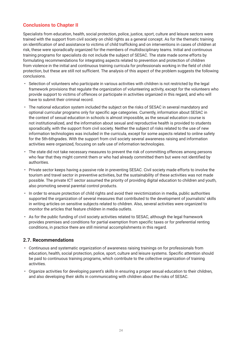## **Conclusions to Chapter II**

Specialists from education, health, social protection, police, justice, sport, culture and leisure sectors were trained with the support from civil society on child rights as a general concept. As for the thematic training on identification of and assistance to victims of child trafficking and on interventions in cases of children at risk, these were sporadically organized for the members of multidisciplinary teams. Initial and continuous training programs for specialists do not include the subject of SESAC. The state made some efforts by formulating recommendations for integrating aspects related to prevention and protection of children from violence in the initial and continuous training curricula for professionals working in the field of child protection, but these are still not sufficient. The analysis of this aspect of the problem suggests the following conclusions.

- Selection of volunteers who participate in various activities with children is not restricted by the legal framework provisions that regulate the organization of volunteering activity, except for the volunteers who provide support to victims of offences or participate in activities organized in this regard, and who will have to submit their criminal record.
- The national education system included the subject on the risks of SESAC in several mandatory and optional curricular programs only for specific age categories. Currently, information about SESAC in the context of sexual education in schools is almost impossible, as the sexual education course is not institutionalized, and the information about sexual and reproductive health is provided to students sporadically, with the support from civil society. Neither the subject of risks related to the use of new information technologies was included in the curricula, except for some aspects related to online safety for the 5th-6thgrades. With the support from civil society several awareness raising and information activities were organized, focusing on safe use of information technologies.
- The state did not take necessary measures to prevent the risk of committing offences among persons who fear that they might commit them or who had already committed them but were not identified by authorities.
- Private sector keeps having a passive role in preventing SESAC. Civil society made efforts to involve the tourism and travel sector in preventive activities, but the sustainability of these activities was not made possible. The private ICT sector assumed the priority of providing digital education to children and youth, also promoting several parental control products.
- In order to ensure protection of child rights and avoid their revictimization in media, public authorities supported the organization of several measures that contributed to the development of journalists' skills in writing articles on sensitive subjects related to children. Also, several activities were organized to monitor the articles that feature children in media outlets.
- As for the public funding of civil society activities related to SESAC, although the legal framework provides premises and conditions for partial exemption from specific taxes or for preferential renting conditions, in practice there are still minimal accomplishments in this regard.

#### **2.7. Recommendations**

- Continuous and systematic organization of awareness raising trainings on for professionals from education, health, social protection, police, sport, culture and leisure systems. Specific attention should be paid to continuous training programs, which contribute to the collective organization of training activities.
- Organize activities for developing parent's skills in ensuring a proper sexual education to their children, and also developing their skills in communicating with children about the risks of SESAC.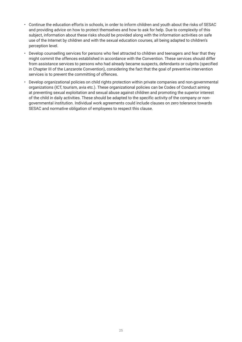- Continue the education efforts in schools, in order to inform children and youth about the risks of SESAC and providing advice on how to protect themselves and how to ask for help. Due to complexity of this subject, information about these risks should be provided along with the information activities on safe use of the Internet by children and with the sexual education courses, all being adapted to children's perception level.
- Develop counselling services for persons who feel attracted to children and teenagers and fear that they might commit the offences established in accordance with the Convention. These services should differ from assistance services to persons who had already became suspects, defendants or culprits (specified in Chapter III of the Lanzarote Convention), considering the fact that the goal of preventive intervention services is to prevent the committing of offences.
- Develop organizational policies on child rights protection within private companies and non-governmental organizations (ICT, tourism, avia etc.). These organizational policies can be Codes of Conduct aiming at preventing sexual exploitation and sexual abuse against children and promoting the superior interest of the child in daily activities. These should be adapted to the specific activity of the company or nongovernmental institution. Individual work agreements could include clauses on zero tolerance towards SESAC and normative obligation of employees to respect this clause.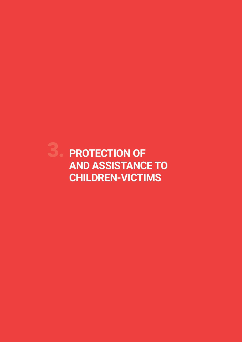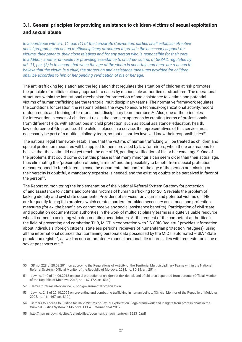## **3.1. General principles for providing assistance to children-victims of sexual exploitation and sexual abuse**

*In accordance with art. 11, par. (1) of the Lanzarote Convention, parties shall establish effective social programs and set up multidisciplinary structures to provide the necessary support for victims, their parents, their close relatives and for any person who is responsible for their care. In addition, another principle for providing assistance to children-victims of SESAC, regulated by art. 11, par. (2) is to ensure that when the age of the victim is uncertain and there are reasons to believe that the victim is a child, the protection and assistance measures provided for children shall be accorded to him or her pending verification of his or her age.*

The anti-trafficking legislation and the legislation that regulates the situation of children at risk promotes the principle of multidisciplinary approach to cases by responsible authorities or structures. The operational structures within the institutional mechanism for protection of and assistance to victims and potential victims of human trafficking are the territorial multidisciplinary teams. The normative framework regulates the conditions for creation, the responsibilities, the ways to ensure technical-organizational activity, record of documents and training of territorial multidisciplinary team members<sup>50</sup>. Also, one of the principles for intervention in cases of children at risk is the complex approach by creating teams of professionals from different fields with attributions in child protection, such as social assistance, education, health, law enforcement<sup>51</sup>. In practice, if the child is placed in a service, the representatives of this service must necessarily be part of a multidisciplinary team, so that all parties involved know their responsibilities<sup>52</sup>.

The national legal framework establishes that the victims of human trafficking will be treated as children and special protection measures will be applied to them, provided by law for minors, when there are reasons to believe that the victim did not yet reach the age of 18, pending verification of his or her exact age<sup>53</sup>. One of the problems that could come out at this phase is that many minor girls can seem older than their actual age, thus eliminating the "presumption of being a minor" and the possibility to benefit from special protection measures, specific for children. In case the documents that confirm the age of the person are missing or their veracity is doubtful, a mandatory expertise is needed, and the existing doubts to be perceived in favor of the person<sup>54</sup>.

The Report on monitoring the implementation of the National Referral System Strategy for protection of and assistance to victims and potential victims of human trafficking for 2015 reveals the problem of lacking identity and civil state documents. Providers of services for victims and potential victims of THB are frequently facing this problem, which creates barriers for taking necessary assistance and protection measures (for ex: the beneficiary cannot receive any social assistance benefits). Participation of civil state and population documentation authorities in the work of multidisciplinary teams is a quite valuable resource when it comes to assisting with documenting beneficiaries. At the request of the competent authorities in the field of preventing and combating THB, MICT in cooperation with "ÎS CRIS Registru" provides information about individuals (foreign citizens, stateless persons, receivers of humanitarian protection, refugees), using all the informational sources that containing personal data possessed by the MICT: automated – SIA "State population register", as well as non-automated – manual personal file records, files with requests for issue of soviet passports etc.<sup>55</sup>

<sup>50</sup> GD no. 228 of 28.03.2014 on approving the Regulations of Activity of the Territorial Multidisciplinary Teams within the National Referral System. (Official Monitor of the Republic of Moldova, 2014, no. 80-85, art. 251.)

<sup>51</sup> Law no. 140 of 14.06.2013 on social protection of children at risk de risk and of children separated from parents. (Official Monitor of the Republic of Moldova, 2013, no. 167-172, art. 534.)

<sup>52</sup> Semi-structural interview no. 9, non-governmental organization.

<sup>53</sup> Law no. 241 of 20.10.2005 on preventing and combating trafficking in human beings. (Official Monitor of the Republic of Moldova, 2005 no. 164-167 art. 812.)

<sup>54</sup> Barriers to Access to Justice for Child Victims of Sexual Exploitation. Legal framework and Insights from professionals in the Criminal Justice System in Moldova. ECPAT International, 2017.

<sup>55</sup> http://msmps.gov.md/sites/default/files/document/attachments/snr3223\_0.pdf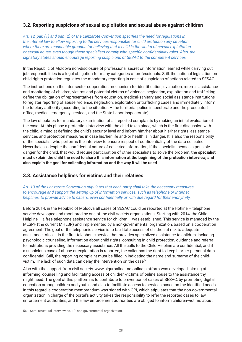## **3.2. Reporting suspicions of sexual exploitation and sexual abuse against children**

*Art. 12, par. (1) and par. (2) of the Lanzarote Convention specifies the need for regulations in the internal law to allow reporting to the services responsible for child protection any situation where there are reasonable grounds for believing that a child is the victim of sexual exploitation or sexual abuse, even though these specialists comply with specific confidentiality rules. Also, the signatory states should encourage reporting suspicions of SESAC to the competent services.*

In the Republic of Moldova non-disclosure of professional secret or information learned while carrying out job responsibilities is a legal obligation for many categories of professionals. Still, the national legislation on child rights protection regulates the mandatory reporting in case of suspicions of actions related to SESAC.

The instructions on the inter-sector cooperation mechanism for identification, evaluation, referral, assistance and monitoring of children, victims and potential victims of violence, neglection, exploitation and trafficking define the obligation of representatives from education, medical-sanitary and social assistance institutions to register reporting of abuse, violence, neglection, exploitation or trafficking cases and immediately inform the tutelary authority (according to the situation – the territorial police inspectorate and the prosecutor's office, medical emergency services, and the State Labor Inspectorate).

The law stipulates for mandatory examination of all reported complaints by making an initial evaluation of the case. At this phase a protection interview with the child takes place, which is the first discussion with the child, aiming at defining the child's security level and inform him/her about his/her rights, assistance services and protection measures in case his/her life and/or health is in danger. It is also the responsibility of the specialist who performs the interview to ensure respect of confidentiality of the data collected. Nevertheless, despite the confidential nature of collected information, if the specialist senses a possible danger for the child, that would require participation of other specialists to solve the problem, **the specialist must explain the child the need to share this information at the beginning of the protection interview, and also explain the goal for collecting information and the way it will be used**.

#### **3.3. Assistance helplines for victims and their relatives**

*Art. 13 of the Lanzarote Convention stipulates that each party shall take the necessary measures to encourage and support the setting up of information services, such as telephone or Internet helplines, to provide advice to callers, even confidentially or with due regard for their anonymity.* 

Before 2014, in the Republic of Moldova all cases of SESAC could be reported at the Hotline – telephone service developed and monitored by one of the civil society organizations. Starting with 2014, the Child Helpline – a free telephone assistance service for children – was established. This service is managed by the MLSPF (the current MHLSP) and implemented by a non-governmental organization, based on a cooperation agreement. The goal of the telephonic service is to facilitate access of children at risk to adequate assistance. Also, it is the first telephonic service that provides specialized assistance to children, including psychologic counseling, information about child rights, consulting in child protection, guidance and referral to institutions providing the necessary assistance. All the calls to the Child Helpline are confidential, and if a suspicious case of abuse or exploitation is reported, the caller has the right to keep his/her personal data confidential. Still, the reporting complaint must be filled in indicating the name and surname of the childvictim. The lack of such data can delay the intervention on the case<sup>56</sup>.

Also with the support from civil society, www.siguronline.md online platform was developed, aiming at informing, counselling and facilitating access of children-victims of online abuse to the assistance thy might need. The goal of this platform is to contribute to prevention of cases of SESAC, by promoting digital education among children and youth, and also to facilitate access to services based on the identified needs. In this regard, a cooperation memorandum was signed with GPI, which stipulates that the non-governmental organization in charge of the portal's activity takes the responsibility to refer the reported cases to law enforcement authorities, and the law enforcement authorities are obliged to inform children-victims about

<sup>56</sup> Semi-structural interview no. 10, non-governmental organization.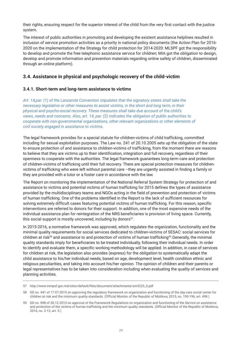their rights, ensuring respect for the superior interest of the child from the very first contact with the justice system.

The interest of public authorities in promoting and developing the existent assistance helplines resulted in inclusion of service promotion activities as a priority in national policy documents (the Action Plan for 2016- 2020 on the implementation of the Strategy for child protection for 2014-2020: MLSPF got the responsibility to develop and promote the free telephonic assistance service for children; MIA got the obligation to design, develop and promote information and prevention materials regarding online safety of children, disseminated through an online platform).

## **3.4. Assistance in physical and psychologic recovery of the child-victim**

#### **3.4.1. Short-term and long-term assistance to victims**

*Art. 14,par. (1) of the Lanzarote Convention stipulates that the signatory states shall take the necessary legislative or other measures to assist victims, in the short and long term, in their physical and psycho-social recovery. These measures shall take due account of the child's views, needs and concerns. Also, art. 14, par. (2) indicates the obligation of public authorities to cooperate with non-governmental organizations, other relevant organizations or other elements of civil society engaged in assistance to victims.*

The legal framework provides for a special statute for children-victims of child trafficking, committed including for sexual exploitation purposes. The Law no. 241 of 20.10.2005 sets up the obligation of the state to ensure protection of and assistance to children-victims of trafficking, from the moment there are reasons to believe that they are victims up to their identification, integration and full recovery, regardless of their openness to cooperate with the authorities. The legal framework guarantees long-term care and protection of children-victims of trafficking until their full recovery. There are special protection measures for childrenvictims of trafficking who were left without parental care –they are urgently assisted in finding a family or they are provided with a tutor or a foster care in accordance with the law.

The Report on monitoring the implementation of the National Referral System Strategy for protection of and assistance to victims and potential victims of human trafficking for 2015 defines the types of assistance provided by the multidisciplinary teams and NGOs acting in the field of prevention and protection of victims of human trafficking. One of the problems identified in the Report is the lack of sufficient resources for solving extremely difficult cases featuring potential victims of human trafficking. For this reason, specific interventions are referred to donors for their support. In addition, one of the most expensive needs of the individual assistance plan for reintegration of the NRS beneficiaries is provision of living space. Currently, this social support is mostly uncovered, including by donors<sup>57</sup>.

In 2015-2016, a normative framework was approved, which regulates the organization, functionality and the minimal quality requirements for social services dedicated to children-victims of SESAC: social services for children at risk<sup>58</sup> and assistance to and protection of victims of human trafficking<sup>59</sup>.Generally, the minimal quality standards imply for beneficiaries to be treated individually, following their individual needs. In order to identify and evaluate them, a specific working methodology will be applied. In addition, in case of services for children at risk, the legislation also provides (express) for the obligation to systematically adapt the child assistance to his/her individual needs, based on age, development level, health condition ethnic and religious peculiarities, and taking into account his/her opinion. The opinion of children and their parents or legal representatives has to be taken into consideration including when evaluating the quality of services and planning activities.

<sup>57</sup> http://www.mmpsf.gov.md/sites/default/files/document/attachments/snr3223\_0.pdf

<sup>58</sup> GD no. 441 of 17.07.2015 on approving the regulatory framework on organization and functioning of the day-care social center for children at risk and the minimum quality standards. (Official Monitor of the Republic of Moldova, 2015, no. 190-196, art. 498.)

<sup>59</sup> GD no. 898 of 30.12.2015 on approval of the Framework Regulations on organization and functioning of the Service on assistance and protection of the victims of human trafficking and the minimum quality standards. (Official Monitor of the Republic of Moldova, 2016, no. 2-12, art. 5.)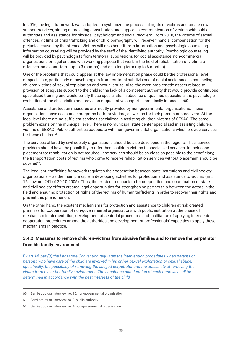In 2016, the legal framework was adopted to systemize the processual rights of victims and create new support services, aiming at providing consultation and support in communication of victims with public authorities and assistance for physical, psychologic and social recovery. From 2018, the victims of sexual offences, victims of child trafficking and of child pornography will receive financial compensation for the prejudice caused by the offence. Victims will also benefit from information and psychologic counseling. Information counseling will be provided by the staff of the identifying authority. Psychologic counseling will be provided by psychologists from territorial subdivisions for social assistance, non-commercial organizations or legal entities with working purpose that work in the field of rehabilitation of victims of offences, on a short term (up to 3 months) and on a long term (up to 6 months).

One of the problems that could appear at the law implementation phase could be the professional level of specialists, particularly of psychologists from territorial subdivisions of social assistance in counseling children victims of sexual exploitation and sexual abuse. Also, the most problematic aspect related to provision of adequate support to the child is the lack of a competent authority that would provide continuous specialized training and would certify these specialists. In absence of qualified specialists, the psychologic evaluation of the child-victim and provision of qualitative support is practically impossible60.

Assistance and protection measures are mostly provided by non-governmental organizations. These organizations have assistance programs both for victims, as well as for their parents or caregivers. At the local level there are no sufficient services specialized in assisting children, victims of SESAC. The same problem exists on the municipal level. There is no municipal state center specialized in assisting children, victims of SESAC. Public authorities cooperate with non-governmental organizations which provide services for these children $61$ .

The services offered by civil society organizations should be also developed in the regions. Thus, service providers should have the possibility to refer these children-victims to specialized services. In their case placement for rehabilitation is not required –the services should be as close as possible to the beneficiary; the transportation costs of victims who come to receive rehabilitation services without placement should be covered<sup>62</sup>.

The legal anti-trafficking framework regulates the cooperation between state institutions and civil society organizations – as the main principle in developing activities for protection and assistance to victims (art. 15, Law no. 241 of 20.10.2005). Thus, the existent mechanism for cooperation and coordination of state and civil society efforts created legal opportunities for strengthening partnership between the actors in the field and ensuring protection of rights of the victims of human trafficking, in order to recover their rights and prevent this phenomenon.

On the other hand, the existent mechanisms for protection and assistance to children at risk created premises for cooperation of non-governmental organizations with public institution at the phase of mechanism implementation, development of sectorial procedures and facilitation of applying inter-sector cooperation procedures among the authorities and development of professionals' capacities to apply these mechanisms in practice.

## **3.4.2. Measures to remove children-victims from abusive families and to remove the perpetrator from his family environment**

*By art 14, par (3) the Lanzarote Convention regulates the intervention procedures when parents or persons who have care of the child are involved in his or her sexual exploitation or sexual abuse, specifically: the possibility of removing the alleged perpetrator and the possibility of removing the victim from his or her family environment. The conditions and duration of such removal shall be determined in accordance with the best interests of the child.*

<sup>60</sup> Semi-structural interview no. 10, non-governmental organization.

<sup>61</sup> Semi-structural interview no. 3, public authority.

<sup>62</sup> Semi-structural interview no. 4, non-governmental organization.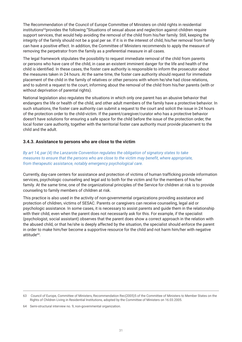The Recommendation of the Council of Europe Committee of Ministers on child rights in residential institutions63provides the following:"Situations of sexual abuse and neglection against children require support services, that would help avoiding the removal of the child from his/her family. Still, keeping the integrity of the family should not be a goal per se. If it is in the interest of child, his/her removal from family can have a positive effect. In addition, the Committee of Ministers recommends to apply the measure of removing the perpetrator from the family as a preferential measure in all cases.

The legal framework stipulates the possibility to request immediate removal of the child from parents or persons who have care of the child, in case an existent imminent danger for the life and health of the child is identified. In these cases, the foster care authority is responsible to inform the prosecutor about the measures taken in 24 hours. At the same time, the foster care authority should request for immediate placement of the child in the family of relatives or other persons with whom he/she had close relations, and to submit a request to the court, informing about the removal of the child from his/her parents (with or without deprivation of parental rights).

National legislation also regulates the situations in which only one parent has an abusive behavior that endangers the life or health of the child, and other adult members of the family have a protective behavior. In such situations, the foster care authority can submit a request to the court and solicit the issue in 24 hours of the protection order to the child-victim. If the parent/caregiver/curator who has a protective behavior doesn't have solutions for ensuring a safe space for the child before the issue of the protection order, the local foster care authority, together with the territorial foster care authority must provide placement to the child and the adult.

#### **3.4.3. Assistance to persons who are close to the victim**

*By art 14, par (4) the Lanzarote Convention regulates the obligation of signatory states to take measures to ensure that the persons who are close to the victim may benefit, where appropriate, from therapeutic assistance, notably emergency psychological care.*

Currently, day-care centers for assistance and protection of victims of human trafficking provide information services, psychologic counseling and legal aid to both for the victim and for the members of his/her family. At the same time, one of the organizational principles of the Service for children at risk is to provide counseling to family members of children at risk.

This practice is also used in the activity of non-governmental organizations providing assistance and protection of children, victims of SESAC. Parents or caregivers can receive counseling, legal aid or psychologic assistance. In some cases, it is necessary to assist parents and guide them in the relationship with their child, even when the parent does not necessarily ask for this. For example, if the specialist (psychologist, social assistant) observes that the parent does show a correct approach in the relation with the abused child, or that he/she is deeply affected by the situation, the specialist should enforce the parent in order to make him/her become a supportive resource for the child and not harm him/her with negative attitude<sup>64</sup>.

<sup>63</sup> Council of Europe, Committee of Ministers, Recommendation Rec(2005)5 of the Committee of Ministers to Member States on the Rights of Children Living in Residential Institutions, adopted by the Committee of Ministers on 16.03.2005.

<sup>64</sup> Semi-structural interview no. 9, non-governmental organization.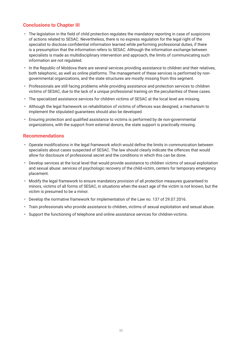## **Conclusions to Chapter III**

- The legislation in the field of child protection regulates the mandatory reporting in case of suspicions of actions related to SESAC. Nevertheless, there is no express regulation for the legal right of the specialist to disclose confidential information learned while performing professional duties, if there is a presumption that the information refers to SESAC. Although the information exchange between specialists is made as multidisciplinary intervention and approach, the limits of communicating such information are not regulated.
- In the Republic of Moldova there are several services providing assistance to children and their relatives, both telephonic, as well as online platforms. The management of these services is performed by nongovernmental organizations, and the state structures are mostly missing from this segment.
- Professionals are still facing problems while providing assistance and protection services to children victims of SESAC, due to the lack of a unique professional training on the peculiarities of these cases.
- The specialized assistance services for children victims of SESAC at the local level are missing.
- Although the legal framework on rehabilitation of victims of offences was designed, a mechanism to implement the stipulated guarantees should also be developed.
- Ensuring protection and qualified assistance to victims is performed by de non-governmental organizations, with the support from external donors, the state support is practically missing.

#### **Recommendations**

- Operate modifications in the legal framework which would define the limits in communication between specialists about cases suspected of SESAC. The law should clearly indicate the offences that would allow for disclosure of professional secret and the conditions in which this can be done.
- Develop services at the local level that would provide assistance to children victims of sexual exploitation and sexual abuse: services of psychologic recovery of the child-victim, centers for temporary emergency placement.
- Modify the legal framework to ensure mandatory provision of all protection measures guaranteed to minors, victims of all forms of SESAC, in situations when the exact age of the victim is not known, but the victim is presumed to be a minor.
- Develop the normative framework for implementation of the Law no. 137 of 29.07.2016.
- Train professionals who provide assistance to children, victims of sexual exploitation and sexual abuse.
- Support the functioning of telephone and online assistance services for children-victims.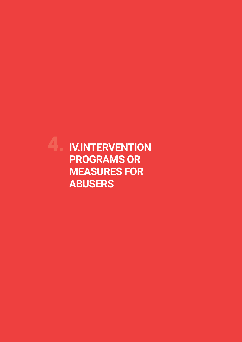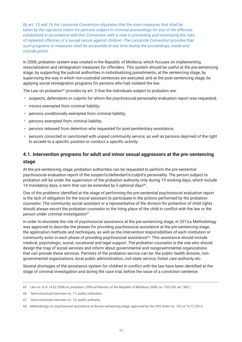*By art. 15 and 16 the Lanzarote Convention stipulates that the main measures that shall be taken by the signatory states for persons subject to criminal proceedings for any of the offences established in accordance with this Convention with a view to preventing and minimizing the risks of repeated offences of a sexual nature against children. The Lanzarote Convention provides that such programs or measures shall be accessible at any time during the proceedings, inside and outside prison.* 

In 2008, probation system was created in the Republic of Moldova, which focuses on implementing resocialization and reintegration measures for offenders. This system should be useful at the pre-sentencing stage, by supporting the judicial authorities in individualizing punishments, at the sentencing stage, by supervising the way in which non-custodial sentences are executed, and at the post-sentencing stage, by applying social reintegration programs for persons who had violated the law.

The Law on probation<sup>65</sup> provides by art. 3 that the individuals subject to probation are:

- suspects, defendants or culprits for whom the psychosocial personality evaluation report was requested;
- minors exempted from criminal liability;
- persons conditionally exempted from criminal liability;
- persons exempted from criminal liability;
- persons released from detention who requested for post-penitentiary assistance;
- persons convicted or sanctioned with unpaid community service, as well as persons deprived of the right to accede to a specific position or conduct a specific activity.

## **4.1. Intervention programs for adult and minor sexual aggressors at the pre-sentencing stage**

At the pre-sentencing stage, probation authorities can be requested to perform the pre-sentential psychosocial evaluation report of the suspect's/defendant's/culprit's personality. The person subject to probation will be under the supervision of the probation authority only during 19 working days, which include 14 mandatory days, a term that can be extended by 5 optional days<sup>66</sup>.

One of the problems identified at the stage of performing the pre-sentential psychosocial evaluation report is the lack of obligation for the social assistant to participate in the actions performed by the probation counselor. The community social assistant or a representative of the division for protection of child rights should always escort the probation counselor to the living place of the child in conflict with the law or the person under criminal investigation<sup>67</sup>.

In order to elucidate the role of psychosocial assistance at the pre-sentencing stage, in 2013,a Methodology was approved to describe the phases for providing psychosocial assistance at the pre-sentencing stage, the application methods and techniques, as well as the intervention responsibilities of each institution or community actor in each phase of providing psychosocial assistance<sup>68</sup>. This assistance should include medical, psychologic, social, vocational and legal support. The probation counselor is the one who should design the map of social services and inform about governmental and nongovernmental organizations that can provide these services. Partners of the probation service can be: the public health division, nongovernmental organizations, local public administration, civil state service, foster care authority etc.

Several shortages of the assistance system for children in conflict with the law have been identified at the stage of criminal investigation and during the case trial, before the issue of a conviction sentence.

<sup>65</sup> Law no. 8 of 14.02.2008 on probation. (Official Monitor of the Republic of Moldova, 2008, no. 103-105, art. 389.)

<sup>66</sup> Semi-structural interview no. 11, public institution.

<sup>67</sup> Semi-structural interview no. 10, public authority.

<sup>68</sup> Methodology on psychosocial assistance at the pre-sentencing stage, approved by the CPO Order no. 163 of 16.12.2013.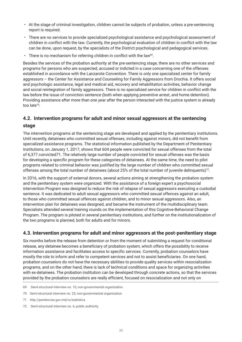- At the stage of criminal investigation, children cannot be subjects of probation, unless a pre-sentencing report is required.
- There are no services to provide specialized psychological assistance and psychological assessment of children in conflict with the law. Currently, the psychological evaluation of children in conflict with the law can be done, upon request, by the specialists of the District psychological and pedagogical services.
- $\cdot$  There is no mechanism for referring children in conflict with the law<sup>69</sup>.

Besides the services of the probation authority at the pre-sentencing stage, there are no other services and programs for persons who are suspected, accused or indicted in a case concerning one of the offenses established in accordance with the Lanzarote Convention. There is only one specialized center for family aggressors – the Center for Assistance and Counseling for Family Aggressors from Drochia. It offers social and psychologic assistance, legal and medical aid, recovery and rehabilitation activities, behavior change and social reintegration of family aggressors. There is no specialized service for children in conflict with the law before the issue of conviction sentence (both when applying preventive arrest, and home detention). Providing assistance after more than one year after the person interacted with the justice system is already too late70.

## **4.2. Intervention programs for adult and minor sexual aggressors at the sentencing**

#### **stage**

The intervention programs at the sentencing stage are developed and applied by the penitentiary institutions. Until recently, detainees who committed sexual offenses, including against minors, did not benefit from specialized assistance programs. The statistical information published by the Department of Penitentiary Institutions, on January 1, 2017, shows that 604 people were convicted for sexual offenses from the total of 6,377 convicted71. The relatively large number of people convicted for sexual offenses was the basis for developing a specific program for these categories of detainees. At the same time, the need to pilot programs related to criminal behavior was justified by the large number of children who committed sexual offenses among the total number of detainees (about 25% of the total number of juvenile delinquents)72.

In 2016, with the support of external donors, several actions aiming at strengthening the probation system and the penitentiary system were organized. With the assistance of a foreign expert a psychosocial intervention Program was designed to reduce the risk of relapse of sexual aggressors executing a custodial sentence. It was dedicated to adult sexual aggressors who committed sexual offences against an adult, to those who committed sexual offences against children, and to minor sexual aggressors. Also, an intervention plan for detainees was designed, and became the instrument of the multidisciplinary team. Specialists attended several training rounds on the implementation of this Cognitive-Behavioral Change Program. The program is piloted in several penitentiary institutions, and further on the institutionalization of the two programs is planned, both for adults and for minors.

## **4.3. Intervention programs for adult and minor aggressors at the post-penitentiary stage**

Six months before the release from detention or from the moment of submitting a request for conditional release, any detainee becomes a beneficiary of probation system, which offers the possibility to receive information assistance and facilitates access to specific services. Currently, probation counselors have mostly the role to inform and refer to competent services and not to assist beneficiaries. On one hand, probation counselors do not have the necessary abilities to provide quality services within resocialization programs, and on the other hand, there is lack of technical conditions and space for organizing activities with ex-detainees. The probation institution can be developed through concrete actions, so that the services provided by the probation counselors are really efficient, focused on resocialization and not only on

72 Semi-structural interview no. 6, public authority.

<sup>69</sup> Semi-structural interview no. 10, non-governmental organization.

<sup>70</sup> Semi-structural interview no. 25, non-governmental organization

<sup>71</sup> http://penitenciar.gov.md/ro/statistica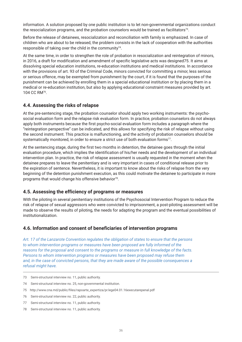information. A solution proposed by one public institution is to let non-governmental organizations conduct the resocialization programs, and the probation counselors would be trained as facilitators<sup>73</sup>.

Before the release of detainees, resocialization and reconciliation with family is emphasized. In case of children who are about to be released, the problem consists in the lack of cooperation with the authorities responsible of taking over the child in the community<sup>74</sup>.

At the same time, in order to strengthen the role of probation in resocialization and reintegration of minors, in 2016, a draft for modification and amendment of specific legislative acts was designed75. It aims at dissolving special education institutions, re-education institutions and medical institutions. In accordance with the provisions of art. 93 of the Criminal Code, minors convicted for committing a minor, less serious or serious offence, may be exempted from punishment by the court, if it is found that the purposes of the punishment can be achieved by enrolling them in a special educational institution or by placing them in a medical or re-education institution, but also by applying educational constraint measures provided by art. 104 CC RM76.

## **4.4. Assessing the risks of relapse**

At the pre-sentencing stage, the probation counselor should apply two working instruments: the psychosocial evaluation form and the relapse risk evaluation form. In practice, probation counselors do not always apply both instruments because the first psycho-social evaluation form includes a paragraph where the "reintegration perspective" can be indicated, and this allows for specifying the risk of relapse without using the second instrument. This practice is malfunctioning, and the activity of probation counselors should be systematically monitored, in order to ensure a strict use of both evaluation forms<sup>77</sup>.

At the sentencing stage, during the first two months in detention, the detainee goes through the initial evaluation procedure, which implies the identification of his/her needs and the development of an individual intervention plan. In practice, the risk of relapse assessment is usually requested in the moment when the detainee prepares to leave the penitentiary and is very important in cases of conditional release prior to the expiration of sentence. Nevertheless, it is important to know about the risks of relapse from the very beginning of the detention punishment execution, as this could motivate the detainee to participate in more programs that would change his offensive behavior<sup>78</sup>.

#### **4.5. Assessing the efficiency of programs or measures**

With the piloting in several penitentiary institutions of the Psychosocial Intervention Program to reduce the risk of relapse of sexual aggressors who were convicted to imprisonment, a post-piloting assessment will be made to observe the results of piloting, the needs for adapting the program and the eventual possibilities of institutionalization.

#### **4.6. Information and consent of beneficiaries of intervention programs**

*Art. 17 of the Lanzarote Convention regulates the obligation of states to ensure that the persons to whom intervention programs or measures have been proposed are fully informed of the reasons for the proposal and consent to the programs or measure in full knowledge of the facts. Persons to whom intervention programs or measures have been proposed may refuse them and, in the case of convicted persons, that they are made aware of the possible consequences a refusal might have.*

- 73 Semi-structural interview no. 11, public authority.
- 74 Semi-structural interview no. 25, non-governmental institution.
- 75 http://www.cna.md/public/files/rapoarte\_expertiza/pr.lege04.01.16executarepenal.pdf
- 76 Semi-structural interview no. 22, public authority.
- 77 Semi-structural interview no. 11, public authority.
- 78 Semi-structural interview no. 11, public authority.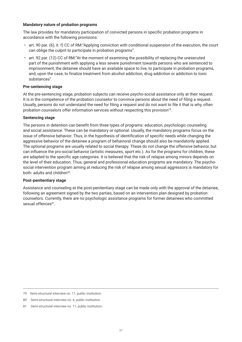#### **Mandatory nature of probation programs**

The law provides for mandatory participation of convicted persons in specific probation programs in accordance with the following provisions:

- art. 90 par. (6), it. f) CC of RM:"Applying conviction with conditional suspension of the execution, the court can oblige the culprit to participate in probation programs".
- art. 92 par. (12) CC of RM:"At the moment of examining the possibility of replacing the unexecuted part of the punishment with applying a less severe punishment towards persons who are sentenced to imprisonment, the detainee should have an available space to live, to participate in probation programs, and, upon the case, to finalize treatment from alcohol addiction, drug addiction or addiction to toxic substances".

#### **Pre-sentencing stage**

At the pre-sentencing stage, probation subjects can receive psycho-social assistance only at their request. It is in the competence of the probation counselor to convince persons about the need of filing a request. Usually, persons do not understand the need for filing a request and do not want to file it that is why, often probation counselors offer information services without respecting this provision79.

#### **Sentencing stage**

The persons in detention can benefit from three types of programs: education, psychologic counseling and social assistance. These can be mandatory or optional. Usually, the mandatory programs focus on the issue of offensive behavior. Thus, in the hypothesis of identification of specific needs while changing the aggressive behavior of the detainee a program of behavioral change should also be mandatorily applied. The optional programs are usually related to social therapy. These do not change the offensive behavior, but can influence the pro-social behavior (artistic measures, sport etc.). As for the programs for children, these are adapted to the specific age categories. It is believed that the risk of relapse among minors depends on the level of their education. Thus, general and professional education programs are mandatory. The psychosocial intervention program aiming at reducing the risk of relapse among sexual aggressors is mandatory for both: adults and children<sup>80</sup>.

#### **Post-penitentiary stage**

Assistance and counseling at the post-penitentiary stage can be made only with the approval of the detainee, following an agreement signed by the two parties, based on an intervention plan designed by probation counselors. Currently, there are no psychologic assistance programs for former detainees who committed sexual offences<sup>81</sup>.

<sup>79</sup> Semi-structural interview no. 11, public institution.

<sup>80</sup> Semi-structural interview no. 6, public institution.

<sup>81</sup> Semi-structural interview no. 11, public institution.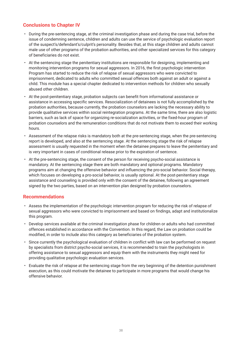## **Conclusions to Chapter IV**

- During the pre-sentencing stage, at the criminal investigation phase and during the case trial, before the issue of condemning sentence, children and adults can use the service of psychologic evaluation report of the suspect's/defendant's/culprit's personality. Besides that, at this stage children and adults cannot male use of other programs of the probation authorities, and other specialized services for this category of beneficiaries do not exist.
- At the sentencing stage the penitentiary institutions are responsible for designing, implementing and monitoring intervention programs for sexual aggressors. In 2016, the first psychologic intervention Program has started to reduce the risk of relapse of sexual aggressors who were convicted to imprisonment, dedicated to adults who committed sexual offences both against an adult or against a child. This module has a special chapter dedicated to intervention methods for children who sexually abused other children.
- At the post-penitentiary stage, probation subjects can benefit from informational assistance or assistance in accessing specific services. Resocialization of detainees is not fully accomplished by the probation authorities, because currently, the probation counselors are lacking the necessary ability to provide qualitative services within social reintegration programs. At the same time, there are also logistic barriers, such as lack of space for organizing re-socialization activities, or the fixed-hour program of probation counselors and the remuneration conditions that do not motivate them to exceed their working hours.
- Assessment of the relapse risks is mandatory both at the pre-sentencing stage, when the pre-sentencing report is developed, and also at the sentencing stage. At the sentencing stage the risk of relapse assessment is usually requested in the moment when the detainee prepares to leave the penitentiary and is very important in cases of conditional release prior to the expiration of sentence.
- At the pre-sentencing stage, the consent of the person for receiving psycho-social assistance is mandatory. At the sentencing stage there are both mandatory and optional programs. Mandatory programs aim at changing the offensive behavior and influencing the pro-social behavior. Social therapy, which focuses on developing a pro-social behavior, is usually optional. At the post-penitentiary stage assistance and counseling is provided only with the consent of the detainee, following an agreement signed by the two parties, based on an intervention plan designed by probation counselors.

#### **Recommendations**

- Assess the implementation of the psychologic intervention program for reducing the risk of relapse of sexual aggressors who were convicted to imprisonment and based on findings, adapt and institutionalize this program.
- Develop services available at the criminal investigation phase for children or adults who had committed offences established in accordance with the Convention. In this regard, the Law on probation could be modified, in order to include also this category as beneficiaries of the probation system.
- Since currently the psychological evaluation of children in conflict with law can be performed on request by specialists from district psycho-social services, it is recommended to train the psychologists in offering assistance to sexual aggressors and equip them with the instruments they might need for providing qualitative psychologic evaluation services.
- Evaluate the risk of relapse at the sentencing stage from the very beginning of the detention punishment execution, as this could motivate the detainee to participate in more programs that would change his offensive behavior.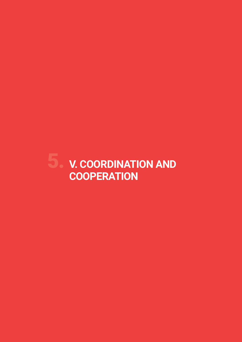# 5. **V. COORDINATION AND COOPERATION**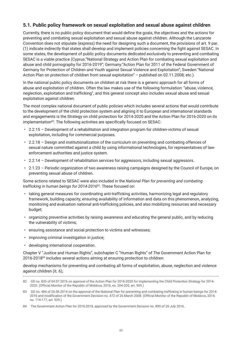## **5.1. Public policy framework on sexual exploitation and sexual abuse against children**

Currently, there is no public policy document that would define the goals, the objectives and the actions for preventing and combating sexual exploitation and sexual abuse against children. Although the Lanzarote Convention does not stipulate (express) the need for designing such a document, the provisions of art. 9 par. (1) indicate indirectly that states shall develop and implement policies concerning the fight against SESAC. In some states, the development of public policy documents dedicated exclusively to preventing and combating SESAC is a viable practice (Cyprus:"National Strategy and Action Plan for combating sexual exploitation and abuse and child pornography for 2016-2019"; Germany:"Action Plan for 2011 of the Federal Government of Germany for Protection of Children and Youth against Sexual Violence and Exploitation"; Sweden:"National Action Plan on protection of children from sexual exploitation" – published on 02.11.2008; etc.).

In the national public policy documents on children at risk there is a generic approach for all forms of abuse and exploitation of children. Often the law makes use of the following formulation: "abuse, violence, neglection, exploitation and trafficking", and this general concept also includes sexual abuse and sexual exploitation against children.

The most complex national document of public policies which includes several actions that would contribute to the development of the child protection system and aligning it to European and international standards and engagements is the Strategy on child protection for 2014-2020 and the Action Plan for 2016-2020 on its implementation<sup>82</sup>. The following activities are specifically focused on SESAC:

- 2.2.15 Development of a rehabilitation and integration program for children-victims of sexual exploitation, including for commercial purposes.
- 2.2.18 Design and institutionalization of the curriculum on preventing and combating offences of sexual nature committed against a child by using informational technologies, for representatives of lawenforcement authorities and justice system.
- 2.2.14 Development of rehabilitation services for aggressors, including sexual aggressors.
- 2.1.23 Periodic organization of two awareness raising campaigns designed by the Council of Europe, on preventing sexual abuse of children.

Some actions related to SESAC were also included in the *National Plan for preventing and combating trafficking in human beings for 2014-2016*83. These focused on:

- taking general measures for coordinating anti-trafficking activities, harmonizing legal and regulatory framework, building capacity, ensuring availability of information and data on this phenomenon, analyzing, monitoring and evaluation national anti-trafficking policies, and also mobilizing resources and necessary budget;
- organizing preventive activities by raising awareness and educating the general public, and by reducing the vulnerability of victims;
- ensuring assistance and social protection to victims and witnesses;
- improving criminal investigation in justice;
- developing international cooperation.

Chapter V "Justice and Human Rights", subchapter C "Human Rights" of The Government Action Plan for 2016-201884 includes several actions aiming at ensuring protection to children:

develop mechanisms for preventing and combating all forms of exploitation, abuse, neglection and violence against children (it. 6);

<sup>82</sup> GD no. 835 of 04.07.2016 on approval of the Action Plan for 2016-2020 for implementing the Child Protection Strategy for 2014- 2020. (Official Monitor of the Republic of Moldova, 2016, no. 204-205, art. 905.)

<sup>83</sup> GD no. 484 of 26.06.2014 on the approval of the National Plan for preventing and combating trafficking in human beings for 2014- 2016 and modification of the Government Decision no. 472 of 26 March 2008. (Official Monitor of the Republic of Moldova, 2014, no. 174-177, art. 529.)

<sup>84</sup> The Government Action Plan for 2016-2018, approved by the Government Decision no. 890 of 20 July 2016.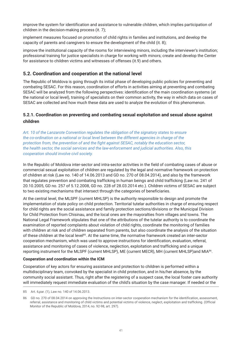improve the system for identification and assistance to vulnerable children, which implies participation of children in the decision-making process (it. 7);

implement measures focused on promotion of child rights in families and institutions, and develop the capacity of parents and caregivers to ensure the development of the child (it. 8);

improve the institutional capacity of the rooms for interviewing minors, including the interviewer's institution; professional training for justice specialists in charge for working with minors; create and develop the Center for assistance to children victims and witnesses of offenses (it.9) and others.

## **5.2. Coordination and cooperation at the national level**

The Republic of Moldova is going through its initial phase of developing public policies for preventing and combating SESAC. For this reason, coordination of efforts in activities aiming at preventing and combating SESAC will be analyzed from the following perspectives: identification of the main coordination systems (at the national or local level), training of specialists on their common activity, the way in which data on cases of SESAC are collected and how much these data are used to analyze the evolution of this phenomenon.

#### **5.2.1. Coordination on preventing and combating sexual exploitation and sexual abuse against children**

*Art. 10 of the Lanzarote Convention regulates the obligation of the signatory states to ensure the co-ordination on a national or local level between the different agencies in charge of the protection from, the prevention of and the fight against SESAC, notably the education sector, the health sector, the social services and the law-enforcement and judicial authorities. Also, this cooperation should involve civil society.*

In the Republic of Moldova inter-sector and intra-sector activities in the field of combating cases of abuse or commercial sexual exploitation of children are regulated by the legal and normative framework on protection of children at risk (Law no. 140 of 14.06.2013 and GD no. 270 of 08.04.2014), and also by the framework that regulates prevention and combating trafficking in human beings and child trafficking (Law no. 241 of 20.10.2005, GD no. 257 of 5.12.2008, GD no. 228 of 28.03.2014 etc.). Children victims of SESAC are subject to two existing mechanisms that intersect through the categories of beneficiaries.

At the central level, the MLSPF (current MHLSP) is the authority responsible to design and promote the implementation of state policy on child protection. Territorial tutelar authorities in charge of ensuring respect for child rights are the social assistance and family protection sections/divisions or the Municipal Division for Child Protection from Chisinau, and the local ones are the mayoralties from villages and towns. The National Legal Framework stipulates that one of the attributions of the tutelar authority is to coordinate the examination of reported complaints about violation of child rights, coordinate the monitoring of families with children at risk and of children separated from parents, but also coordinate the analysis of the situation of these children at the local level<sup>85</sup>. At the same time, the normative framework created an inter-sector cooperation mechanism, which was used to approve instructions for identification, evaluation, referral, assistance and monitoring of cases of violence, neglection, exploitation and trafficking and a unique reporting instrument for the MLSPF (current MHLSP), ME (current MECR), MH (current MHLSP)and MIA<sup>86</sup>.

#### **Cooperation and coordination within the ICM**

Cooperation of key actors for ensuring assistance and protection to children is performed within a multidisciplinary team, convoked by the specialist in child protection, and in his/her absence, by the community social assistant. Thus, right after the registering of a suspect case, the local foster care authority will immediately request immediate evaluation of the child's situation by the case manager. If needed or the

<sup>85</sup> Art. 6,par. (1), Law no. 140 of 14.06.2013.

<sup>86</sup> GD no. 270 of 08.04.2014 on approving the Instructions on inter-sector cooperation mechanism for the identification, assessment, referral, assistance and monitoring of child victims and potential victims of violence, neglect, exploitation and trafficking. (Official Monitor of the Republic of Moldova, 2014, no. 92-98, art. 297).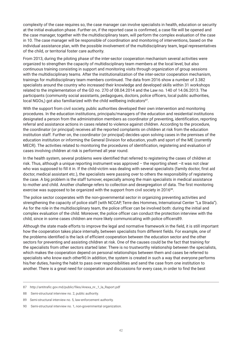complexity of the case requires so, the case manager can involve specialists in health, education or security at the initial evaluation phase. Further on, if the reported case is confirmed, a case file will be opened and the case manager, together with the multidisciplinary team, will perform the complex evaluation of the case in 10. The case manager will be responsible of coordination and monitoring of interventions, based on the individual assistance plan, with the possible involvement of the multidisciplinary team, legal representatives of the child, or territorial foster care authority.

From 2013, during the piloting phase of the inter-sector cooperation mechanism several activities were organized to strengthen the capacity of multidisciplinary team members at the local level, but also continuous training consisting in support and monitoring visits through organization of group sessions with the multidisciplinary teams. After the institutionalization of the inter-sector cooperation mechanism, trainings for multidisciplinary team members continued. The data from 2016 show a number of 3.382 specialists around the country who increased their knowledge and developed skills within 31 workshops related to the implementation of the GD no. 270 of 08.04.2014 and the Law no. 140 of 14.06.2013. The participants (community social assistants, pedagogues, doctors, police officers, local public authorities, local NGOs,) got also familiarized with the child wellbeing indicators<sup>87</sup>.

With the support from civil society, public authorities developed their own intervention and monitoring procedures. In the education institutions, principals/managers of the education and residential institutions designated a person from the administration members as coordinator pf preventing, identification, reporting referral and assistance actions in cases related to violence against children. According to the procedure, the coordinator (or principal) receives all the reported complaints on children at risk from the education institution staff. Further on, the coordinator (or principal) decides upon solving cases in the premises of the education institution or informing the General Division for education, youth and sport of the ME (currently MECR). The activities related to monitoring the procedures of identification, registering and evaluation of cases involving children at risk is performed all year round.

In the health system, several problems were identified that referred to registering the cases of children at risk. Thus, although a unique reporting instrument was approved – the reporting sheet –it was not clear who was supposed to fill it in. If the child-victim was dealing with several specialists (family doctor, first aid doctor, medical assistant etc.), the specialists were passing over to others the responsibility of registering the case. A big problem is the staff turnover, especially among the main specialists in medical assistance to mother and child. Another challenge refers to collection and desegregation of data. The first monitoring exercise was supposed to be organized with the support from civil society in 2016<sup>88</sup>.

The police sector cooperates with the non-governmental sector in organizing preventing activities and strengthening the capacity of police staff (with NCCAP, Terre des Hommes, International Center "La Strada"). As for the role in the multidisciplinary team, the police officer can be involved both: during the initial and complex evaluation of the child. Moreover, the police officer can conduct the protection interview with the child, since in some cases children are more likely communicating with police officers89.

Although the state made efforts to improve the legal and normative framework in the field, it is still important how the cooperation takes place internally, between specialists from different fields. For example, one of the problems identified is the lack of efficient cooperation between the education sector and the other sectors for preventing and assisting children at risk. One of the causes could be the fact that training for the specialists from other sectors started later. There is no trustworthy relationship between the specialists, which makes the cooperation depend on personal relationships between them and cases be referred to specialists who know each other90.In addition, the system is created in such a way that everyone performs his/her duties, having the habit to pass over responsibilities and send the case from one institution to another. There is a great need for cooperation and discussions for every case, in order to find the best

<sup>87</sup> http://antitrafic.gov.md/public/files/Anexa\_nr.\_1\_la\_Raport.pdf

<sup>88</sup> Semi-structural interview no. 2, public authority.

<sup>89</sup> Semi-structural interview no. 5, law-enforcement authority.

<sup>90</sup> Semi-structural interview no. 1, non-governmental organization.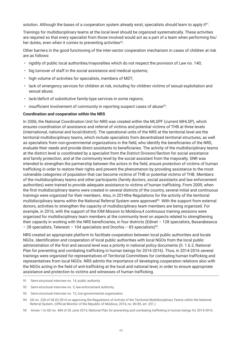solution. Although the bases of a cooperation system already exist, specialists should learn to apply it<sup>91</sup>.

Trainings for multidisciplinary teams at the local level should be organized systematically. These activities are required so that every specialist from those involved would act as a part of a team when performing his/ her duties, even when it comes to preventing activities<sup>92</sup>.

Other barriers in the good functioning of the inter-sector cooperation mechanism in cases of children at risk are as follows:

- rigidity of public local authorities/mayoralties which do not respect the provision of Law no. 140;
- big turnover of staff in the social assistance and medical systems;
- high volume of activities for specialists, members of MDT;
- lack of emergency services for children at risk, including for children victims of sexual exploitation and sexual abuse;
- lack/deficit of substitutive family-type services in some regions;
- $\cdot$  insufficient involvement of community in reporting suspect cases of abuse<sup>93</sup>.

#### **Coordination and cooperation within the NRS**

In 2006, the National Coordination Unit for NRS was created within the MLSPF (current MHLSP), which ensures coordination of assistance and referral of victims and potential victims of THB at three levels (international, national and local/district). The operational units of the NRS at the territorial level are the territorial multidisciplinary teams, which include specialists from decentralized territorial structures, as well as specialists from non-governmental organizations in the field, who identify the beneficiaries of the NRS, evaluate their needs and provide direct assistants to beneficiaries. The activity of the multidisciplinary teams at the district level is coordinated by a specialist from the District Division/Section for social assistance and family protection, and at the community level by the social assistant from the mayoralty. SNR was intended to strengthen the partnership between the actors in the field, ensure protection of victims of human trafficking in order to restore their rights and prevent the phenomenon by providing assistance to the most vulnerable categories of population that can become victims of THB or potential victims of THB. Members of the multidisciplinary teams and other participants (family doctors, social assistants and law enforcement authorities) were trained to provide adequate assistance to victims of human trafficking. From 2009, when the first multidisciplinary teams were created in several districts of the country, several initial and continuous trainings were organized for their members. Also, in 2014the Regulations for the activity of the territorial multidisciplinary teams within the National Referral System were approved<sup>94</sup>. With the support from external donors, activities to strengthen the capacity of multidisciplinary team members are being organized. For example, in 2016, with the support of the IOM Mission to Moldova,4 continuous training sessions were organized for multidisciplinary team members at the community level on aspects related to strengthening their capacity in working with the NRS beneficiaries, in four districts (Edinet – 128 specialists, Basarabeasca – 28 specialists, Telenesti – 104 specialists and Drochia – 83 specialists)<sup>95</sup>.

NRS created an appropriate platform to facilitate cooperation between local public authorities and locale NGOs. Identification and cooperation of local public authorities with local NGOs from the local public administration of the first and second level was a priority in national policy documents (it. 1.6.2, National Plan for preventing and combating trafficking in human beings for 2014-2016). Thus, in 2014-2016 several trainings were organized for representatives of Territorial Committees for combating human trafficking and representatives from local NGOs. NRS admits the importance of developing cooperation relations also with the NGOs acting in the field of anti-trafficking at the local and national level, in order to ensure appropriate assistance and protection to victims and witnesses of human trafficking.

- 91 Semi-structural interview no. 14, public authority.
- 92 Semi-structural interview no. 5, law-enforcement authority.

<sup>93</sup> Semi-structural interview no. 12, non-governmental organization.

<sup>94</sup> GD no. 228 of 28.03.2014 on approving the Regulations of Activity of the Territorial Multidisciplinary Teams within the National Referral System. (Official Monitor of the Republic of Moldova, 2014, no. 80-85, art. 251.)

<sup>95</sup> Annex 1 to GD no. 484 of 26 June 2014, National Plan for preventing and combating trafficking in human beings for 2014-2016.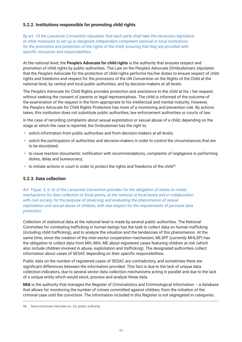#### **5.2.2. Institutions responsible for promoting child rights**

*By art. 10 the Lanzarote Convention stipulates that each party shall take the necessary legislative or other measures to set up or designate independent competent national or local institutions for the promotion and protection of the rights of the child, ensuring that they are provided with specific resources and responsibilities.*

At the national level, the **People's Advocate for child rights** is the authority that ensures respect and promotion of child rights by public authorities. The Law on the People's Advocate (Ombudsman) stipulates that the People's Advocate for the protection of child rights performs his/her duties to ensure respect of child rights and freedoms and respect for the provisions of the UN Convention on the Rights of the Child at the national level, by central and local public authorities, and by decision-makers at all levels.

The People's Advocate for Child Rights provides protection and assistance to the child at his / her request, without seeking the consent of parents or legal representatives. The child is informed of the outcome of the examination of the request in the form appropriate to his intellectual and mental maturity. However, the People's Advocate for Child Rights Protection has more of a monitoring and prevention role. By actions taken, this institution does not substitute public authorities, law enforcement authorities or courts of law.

In the case of recording complaints about sexual exploitation or sexual abuse of a child, depending on the stage at which the case is reported, the Ombudsman has the right to:

- solicit information from public authorities and from decision-makers at all levels;
- solicit the participation of authorities and decision-makers in order to control the circumstances that are to be elucidated;
- to issue reaction documents: notification with recommendations, complaints of negligence in performing duties, delay and bureaucracy;
- $\cdot$  to initiate actions in court in order to protect the rights and freedoms of the child<sup>96</sup>.

#### **5.2.3. Data collection**

*Art. 10,par. 2, it. b) of the Lanzarote Convention provides for the obligation of states to create mechanisms for data collection or focal points, at the national or local levels and in collaboration with civil society, for the purpose of observing and evaluating the phenomenon of sexual exploitation and sexual abuse of children, with due respect for the requirements of personal data protection.*

Collection of statistical data at the national level is made by several public authorities. The National Committee for combating trafficking in human beings has the task to collect data on human trafficking (including child trafficking), and to analyze the situation and the tendencies of this phenomenon. At the same time, since the creation of the inter-sector cooperation mechanism, MLSPF (currently MHLSP) has the obligation to collect data from MH, MIA, ME about registered cases featuring children at risk (which also include children involved in abuse, exploitation and trafficking). The designated authorities collect information about cases of SESAC depending on their specific responsibilities.

Public data on the number of registered cases of SESAC are contradictory, and sometimes there are significant differences between the information provided. This fact is due to the lack of unique data collection indicators, due to several sector data collection mechanisms acting in parallel and due to the lack of a unique entity which would stock, process and analyze these data.

**MIA** is the authority that manages the Register of Criminalistics and Criminological Information – a database that allows for monitoring the number of crimes committed against children, from the initiation of the criminal case until the conviction. The information included in this Register is not segregated in categories.

<sup>96</sup> Semi-structural interview no. 23, public authority.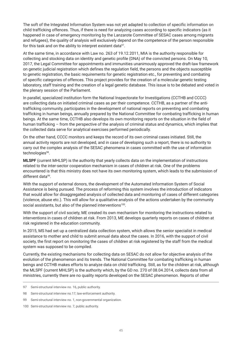The soft of the Integrated Information System was not yet adapted to collection of specific information on child trafficking offences. Thus, if there is need for analyzing cases according to specific indicators (as it happened in case of emergency monitoring by the Lanzarote Committee of SESAC cases among migrants and refugees), the quality of analysis will exclusively depend on the competence of the person responsible for this task and on the ability to interpret existent data<sup>97</sup>.

At the same time, in accordance with Law no. 263 of 19.12.2011, MIA is the authority responsible for collecting and stocking data on identity and genetic profile (DNA) of the convicted persons. On May 10, 2017, the Legal Committee for appointments and immunities unanimously approved the draft-law framework on genetic judicial registration which defines the regulation field, the persons and the objects susceptible to genetic registration, the basic requirements for genetic registration etc., for preventing and combating of specific categories of offences. This project provides for the creation of a molecular genetic testing laboratory, staff training and the creation of a legal genetic database. This issue is to be debated and voted in the plenary session of the Parliament.

In parallel, specialized institution form the National Inspectorate for Investigations (CCTHB and CCCC) are collecting data on initiated criminal cases as per their competence. CCTHB, as a partner of the antitrafficking community, participates in the development of national reports on preventing and combating trafficking in human beings, annually prepared by the National Committee for combating trafficking in human beings. At the same time, CCTHB also develops its own monitoring reports on the situation in the field of human trafficking – from the perspective of the analysis of criminal status and dynamics, which implies that the collected data serve for analytical exercises performed periodically.

On the other hand, CCCC monitors and keeps the record of its own criminal cases initiated. Still, the annual activity reports are not developed, and in case of developing such a report, there is no authority to carry out the complex analysis of the SESAC phenomena in cases committed with the use of information technologies<sup>98</sup>.

**MLSPF** (current MHLSP) is the authority that yearly collects data on the implementation of instructions related to the inter-sector cooperation mechanism in cases of children at risk. One of the problems encountered is that this ministry does not have its own monitoring system, which leads to the submission of different data<sup>99</sup>.

With the support of external donors, the development of the Automated Information System of Social Assistance is being pursued. The process of reforming this system involves the introduction of indicators that would allow for disaggregated analysis of collected data and monitoring of cases of different categories (violence, abuse etc.). This will allow for a qualitative analysis of the actions undertaken by the community social assistants, but also of the planned interventions<sup>100</sup>.

With the support of civil society, ME created its own mechanism for monitoring the instructions related to interventions in cases of children at risk. From 2013, ME develops quarterly reports on cases of children at risk registered in the education community.

In 2015, MS had set up a centralized data collection system, which allows the senior specialist in medical assistance to mother and child to submit annual data about the cases. In 2016, with the support of civil society, the first report on monitoring the cases of children at risk registered by the staff from the medical system was supposed to be compiled.

Currently, the existing mechanisms for collecting data on SESAC do not allow for objective analysis of the evolution of the phenomenon and its trends. The National Committee for combating trafficking in human beings and CCTHB makes efforts to analyze data on child trafficking. Still, as for the children at risk, although the MLSPF (current MHLSP) is the authority which, by the GD no. 270 of 08.04.2014, collects data from all ministries, currently there are no quality reports developed on the SESAC phenomenon. Reports of other

<sup>97</sup> Semi-structural interview no. 16, public authority.

<sup>98</sup> Semi-structural interview no.17, law-enforcement authority.

<sup>99</sup> Semi-structural interview no. 1, non-governmental organization.

<sup>100</sup> Semi-structural interview no. 7, public authority.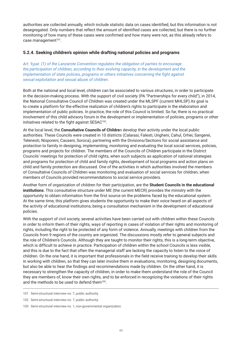authorities are collected annually, which include statistic data on cases identified, but this information is not desegregated. Only numbers that reflect the amount of identified cases are collected, but there is no further monitoring of how many of these cases were confirmed and how many were not, as this already refers to case management<sup>101</sup>.

#### **5.2.4. Seeking children's opinion while drafting national policies and programs**

*Art. 9,par. (1) of the Lanzarote Convention regulates the obligation of parties to encourage the participation of children, according to their evolving capacity, in the development and the implementation of state policies, programs or others initiatives concerning the fight against sexual exploitation and sexual abuse of children.*

Both at the national and local level, children can be associated to various structures, in order to participate in the decision-making process. With the support of civil society (PA "Partnerships for every child"), in 2014, the National Consultative Council of Children was created under the MLSPF (current MHLSP).Its goal is to create a platform for the effective realization of children's rights to participate in the elaboration and implementation of public policies. In practice, the role of this Council is limited. So far, there is no practical involvement of this child advisory forum in the development or implementation of policies, programs or other initiatives related to the fight against SESAC<sup>102</sup>.

At the local level, the **Consultative Councils of Childre**n develop their activity under the local public authorities. These Councils were created in 10 districts (Calarasi, Falesti, Ungheni, Cahul, Orhei, Sangerei, Telenesti, Nisporeni, Causeni, Soroca), partnering with the Divisions/Sections for social assistance and protection to family in designing, implementing, monitoring and evaluating the local social services, policies, programs and projects for children. The members of the Councils of Children participate in the District Councils' meetings for protection of child rights, when such subjects as application of national strategies and programs for protection of child and family rights, development of local programs and action plans on child and family protection are discussed. One of the activities in which authorities involved the members of Consultative Councils of Children was monitoring and evaluation of social services for children, when members of Councils provided recommendations to social service providers.

Another form of organization of children for their participation, are the **Student Councils in the educational institutions**. This consultative structure under ME (the current MECR) provides the ministry with the opportunity to obtain information from the first source on the problems faced by the educational system. At the same time, this platform gives students the opportunity to make their voice heard on all aspects of the activity of educational institutions, being a consultation mechanism in the development of educational policies.

With the support of civil society, several activities have been carried out with children within these Councils in order to inform them of their rights, ways of reporting in cases of violation of their rights and monitoring of rights, including the right to be protected of any form of violence. Annually, meetings with children from the Councils from 9 regions of the country are organized. The discussions mostly refer to general subjects and the role of Children's Councils. Although they are taught to monitor their rights, this is a long-term objective, which is difficult to achieve in practice. Participation of children within the school Councils is less visible, and this is due to the fact that often the managerial staff are lacking the capacity to listen to the voice of children. On the one hand, it is important that professionals in the field receive training to develop their skills in working with children, so that they can later involve them in evaluations, monitoring, designing documents, but also be able to hear the findings and recommendations made by children. On the other hand, it is necessary to strengthen the capacity of children, in order to make them understand the role of the Council they are members of, know their own rights, and to be enforced in recognizing the violations of their rights and the methods to be used to defend them<sup>103</sup>.

<sup>101</sup> Semi-structural interview no. 7, public authority.

<sup>102</sup> Semi-structural interview no. 7, public authority.

<sup>103</sup> Semi-structural interview no. 1, non-governmental organization.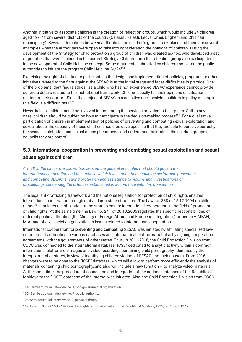Another initiative to associate children is the creation of reflection groups, which would include 24 children aged 12-17 from several districts of the country (Calarasi, Falesti, Leova, Orhei, Ungheni and Chisinau municipality). Several interactions between authorities and children's groups took place and there are several examples when the authorities were open to take into consideration the opinions of children. During the development of the Strategy for child protection a group of children was created ad-hoc, who developed a set of priorities that were included in the current Strategy. Children form the reflection group also participated in in the development of Child Helpline concept. Some arguments submitted by children motivated the public authorities to initiate the program Child Helpline 24/24104.

Exercising the right of children to participate in the design and implementation of policies, programs or other initiatives related to the fight against the SESAC is at the initial stage and faces difficulties in practice. One of the problems identified is ethical, as a child who has not experienced SESAC experience cannot provide concrete details related to the institutional framework. Children usually tell their opinions on situations related to their comfort. Since the subject of SESAC is a sensitive one, involving children in policy-making in this field is a difficult task.<sup>105</sup>.

Nevertheless, children could be involved in monitoring the services provided to their peers. Still, in any case, children should be quided on how to participate in the decision-making process<sup>106</sup>. For a qualitative participation of children in implementation of policies of preventing and combating sexual exploitation and sexual abuse, the capacity of these children should be developed, so that they are able to perceive correctly the sexual exploitation and sexual abuse phenomena, and understand their role in the children groups or councils they are part of.

## **5.3. International cooperation in preventing and combating sexual exploitation and sexual abuse against children**

*Art. 38 of the Lanzarote convention sets up the general principles that should govern the international cooperation and the areas in which this cooperation should be performed: prevention and combating SESAC, ensuring protection and assistance to victims and investigations or proceedings concerning the offences established in accordance with this Convention.*

The legal anti-trafficking framework and the national legislation for protection of child rights ensures international cooperation through stat and non-state structures. The Law no. 338 of 15.12.1994 on child rights107 stipulates the obligation of the state to ensure international cooperation in the field of protection of child rights. At the same time, the Law no. 241 of 20.10.2005 regulates the specific responsibilities of different public authorities (the Ministry of Foreign Affairs and European Integration (further on – MFAEI), MIA) and of civil society organization in issues related to international cooperation.

International cooperation for **preventing and combatin**g SESAC was initiated by affiliating specialized lawenforcement authorities to various databases and international platforms, but also by signing cooperation agreements with the governments of other states. Thus, in 2011-2016, the Child Protection Division from CCCC was connected to the international database "ICSE" dedicated to analytic activity within a common international platform on images and video recordings containing child pornography, identified by the Interpol member states, in view of identifying children victims of SESAC and their abusers. From 2016, changes were to be done to the "ICSE" database, which will allow to perform more efficiently the analysis of materials containing child pornography, and also will include a new function – to analyze video materials. At the same time, the procedure of connection and integration of the national database of the Republic of Moldova to the "ICSE" database of the Interpol was initiated. Also, the Child Protection Division from CCCC

<sup>104</sup> Semi-structural interview no. 1, non-governmental organization.

<sup>105</sup> Semi-structural interview no. 7, public authority.

<sup>106</sup> Semi-structural interview no. 7, public authority.

<sup>107</sup> Law no. 338 of 15.12.1994 on child rights. (Official Monitor of the Republic of Moldova, 1995, no. 13, art. 127.)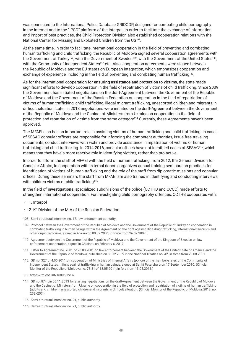was connected to the International Police Database GRIDCOP, designed for combating child pornography in the Internet and to the "IPSG" platform of the Interpol. In order to facilitate the exchange of information and import of best practices, the Child Protection Division also established cooperation relations with the National Center for Missing and Exploited Children from the US<sup>108</sup>.

At the same time, in order to facilitate international cooperation in the field of preventing and combating human trafficking and child trafficking, the Republic of Moldova signed several cooperation agreements with the Government of Turkey<sup>109</sup>, with the Government of Sweden<sup>110</sup>, with the Government of the United States<sup>111</sup>, with the Community of Independent States<sup>112</sup> etc. Also, cooperation agreements were signed between the Republic of Moldova and the EU states on European integration, which emphasizes cooperation and exchange of experience, including in the field of preventing and combating human trafficking<sup>113</sup>.

As for the international cooperation for **ensuring assistance and protection to victims**, the state made significant efforts to develop cooperation in the field of repatriation of victims of child trafficking. Since 2009 the Government has initiated negotiations on the draft-Agreement between the Government of the Republic of Moldova and the Government of the Russian Federation on cooperation in the field of repatriation of victims of human trafficking, child trafficking, illegal migrant trafficking, unescorted children and migrants in difficult situation. Later, in 2013 negotiations were initiated on the draft-Agreement between the Government of the Republic of Moldova and the Cabinet of Ministers from Ukraine on cooperation in the field of protection and repatriation of victims from the same category<sup>114</sup>. Currently, these Agreements haven't been approved.

The MFAEI also has an important role in assisting victims of human trafficking and child trafficking. In cases of SESAC consular officers are responsible for informing the competent authorities, issue free traveling documents, conduct interviews with victim and provide assistance in repatriation of victims of human trafficking and child trafficking. In 2014-2016, consular offices have not identified cases of SESAC115, which means that they have a more reactive role in identifying victims, rather than pro-active.

In order to inform the staff of MFAEI with the field of human trafficking, from 2012, the General Division for Consular Affairs, in cooperation with external donors, organizes annual training seminars on practices for identification of victims of human trafficking and the role of the staff from diplomatic missions and consular offices. During these seminars the staff from MFAEI are also trained in identifying and conducting interviews with children victims of child trafficking<sup>116</sup>.

In the field of **investigations**, specialized subdivisions of the police (CCTHB and CCCC) made efforts to strengthen international cooperation. For investigating child pornography offences, CCTHB cooperates with:

- 1. Interpol
- 2."K" Division of the MIA of the Russian Federation
- 108 Semi-structural interview no. 17, law-enforcement authority.
- 109 Protocol between the Government of the Republic of Moldova and the Government of the Republic of Turkey on cooperation in combating trafficking in human beings within the Agreement on the fight against illicit drug trafficking, international terrorism and other organized crime, signed in Ankara on 80.02.2006, in force from 26.02.2007.
- 110 Agreement between the Government of the Republic of Moldova and the Government of the Kingdom of Sweden on law enforcement cooperation, signed in Chisinau on February 6, 2017.
- 111 Letter to Agreement no. 2001 of 28.08.2001 on law enforcement between the Government of the United State of America and the Government of the Republic of Moldova, published on 30.12.2009 in the National Treaties no. 42, in force from 28.08.2001.
- 112 GD no. 327 of 4.05.2011 on cooperation of Ministries of Internal Affairs (police) of the member-states of the Community of Independent States in fight against trafficking in human beings, signed at Sankt Petersburg on 17 September 2010. (Official Monitor of the Republic of Moldova no. 78-81 of 13.05.2011, in fore from 13.05.2011.)
- 113 https://rm.coe.int/168063bc32
- 114 GD no. 874 din 06.11.2013 for starting negotiations on the draft-Agreement between the Government of the Republic of Moldova and the Cabinet of Ministers from Ukraine on cooperation in the field of protection and repatriation of victims of human trafficking (adults and children), unescorted childrenand migrants in difficult situation. (Official Monitor of the Republic of Moldova, 2013, no. 252 -257.)
- 115 Semi-structural interview no. 21, public authority.
- 116 Semi-structural interview no. 21, public authority.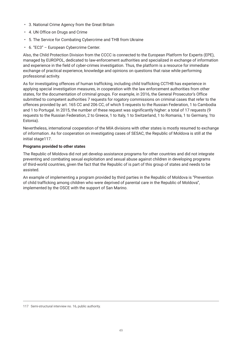- 3. National Crime Agency from the Great Britain
- 4. UN Office on Drugs and Crime
- 5. The Service for Combating Cybercrime and THB from Ukraine
- 6. "EC3" European Cybercrime Center.

Also, the Child Protection Division from the CCCC is connected to the European Platform for Experts (EPE), managed by EUROPOL, dedicated to law-enforcement authorities and specialized in exchange of information and experience in the field of cyber-crimes investigation. Thus, the platform is a resource for immediate exchange of practical experience, knowledge and opinions on questions that raise while performing professional activity.

As for investigating offences of human trafficking, including child trafficking CCTHB has experience in applying special investigation measures, in cooperation with the law enforcement authorities from other states, for the documentation of criminal groups. For example, in 2016, the General Prosecutor's Office submitted to competent authorities 7 requests for rogatory commissions on criminal cases that refer to the offences provided by art. 165 CC and 206 CC, of which 5 requests to the Russian Federation, 1 to Cambodia and 1 to Portugal. In 2015, the number of these request was significantly higher: a total of 17 requests (9 requests to the Russian Federation, 2 to Greece, 1 to Italy, 1 to Switzerland, 1 to Romania, 1 to Germany, 1to Estonia).

Nevertheless, international cooperation of the MIA divisions with other states is mostly resumed to exchange of information. As for cooperation on investigating cases of SESAC, the Republic of Moldova is still at the initial stage117.

#### **Programs provided to other states**

The Republic of Moldova did not yet develop assistance programs for other countries and did not integrate preventing and combating sexual exploitation and sexual abuse against children in developing programs of third-world countries, given the fact that the Republic of is part of this group of states and needs to be assisted.

An example of implementing a program provided by third parties in the Republic of Moldova is "Prevention of child trafficking among children who were deprived of parental care in the Republic of Moldova", implemented by the OSCE with the support of San Marino.

<sup>117</sup> Semi-structural interview no. 16, public authority.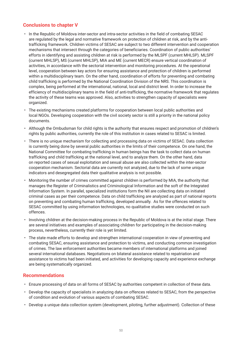## **Conclusions to chapter V**

- In the Republic of Moldova inter-sector and intra-sector activities in the field of combating SESAC are regulated by the legal and normative framework on protection of children at risk, and by the antitrafficking framework. Children victims of SESAC are subject to two different intervention and cooperation mechanisms that intersect through the categories of beneficiaries. Coordination of public authorities' efforts in identifying and assisting children at risk is performed by the MLSPF (current MHLSP). MLSPF (current MHLSP), MS (current MHLSP), MIA and ME (current MECR) ensure vertical coordination of activities, in accordance with the sectorial intervention and monitoring procedures. At the operational level, cooperation between key actors for ensuring assistance and protection of children is performed within a multidisciplinary team. On the other hand, coordination of efforts for preventing and combating child trafficking is performed by the National Coordination Division of the NRS. This coordination is complex, being performed at the international, national, local and district level. In order to increase the efficiency of multidisciplinary teams in the field of anti-trafficking, the normative framework that regulates the activity of these teams was approved. Also, activities to strengthen capacity of specialists were organized.
- The existing mechanisms created platforms for cooperation between local public authorities and local NGOs. Developing cooperation with the civil society sector is still a priority in the national policy documents.
- Although the Ombudsman for child rights is the authority that ensures respect and promotion of children's rights by public authorities, currently the role of this institution in cases related to SESAC is limited.
- There is no unique mechanism for collecting and processing data on victims of SESAC. Data collection is currently being done by several public authorities in the limits of their competence. On one hand, the National Committee for combating trafficking in human beings has the task to collect data on human trafficking and child trafficking at the national level, and to analyze them. On the other hand, data on reported cases of sexual exploitation and sexual abuse are also collected within the inter-sector cooperation mechanism. Sectorial data are currently not analyzed, due to the lack of some unique indicators and desegregated data their qualitative analysis is not possible.
- Monitoring the number of crimes committed against children is performed by MIA, the authority that manages the Register of Criminalistics and Criminological Information and the soft of the Integrated Information System. In parallel, specialized institutions form the NII are collecting data on initiated criminal cases as per their competence. Data on child trafficking are analyzed as part of national reports on preventing and combating human trafficking, developed annually. As for the offences related to SESAC committed by using information technologies, no qualitative studies were conducted on such offences.
- Involving children at the decision-making process in the Republic of Moldova is at the initial stage. There are several initiatives and examples of associating children for participating in the decision-making process, nevertheless, currently their role is yet limited.
- The state made efforts to develop and strengthen international cooperation in view of preventing and combating SESAC, ensuring assistance and protection to victims, and conducting common investigation of crimes. The law enforcement authorities became members of international platforms and joined several international databases. Negotiations on bilateral assistance related to repatriation and assistance to victims had been initiated, and activities for developing capacity and experience exchange are being systematically organized.

#### **Recommendations**

- Ensure processing of data on all forms of SESAC by authorities competent in collection of these data.
- Develop the capacity of specialists in analyzing data on offences related to SESAC, from the perspective of condition and evolution of various aspects of combating SESAC.
- Develop a unique data collection system (development, piloting, further adjustment). Collection of these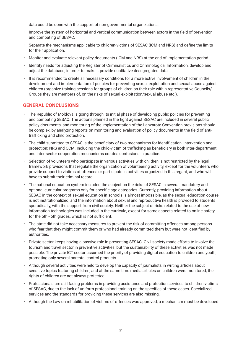data could be done with the support of non-governmental organizations.

- Improve the system of horizontal and vertical communication between actors in the field of prevention and combating of SESAC.
- Separate the mechanisms applicable to children-victims of SESAC (ICM and NRS) and define the limits for their application.
- Monitor and evaluate relevant policy documents (ICM and NRS) at the end of implementation period.
- Identify needs for adjusting the Register of Criminalistics and Criminological Information, develop and adjust the database, in order to make it provide qualitative desegregated data.
- It is recommended to create all necessary conditions for a more active involvement of children in the development and implementation of policies for preventing sexual exploitation and sexual abuse against children (organize training sessions for groups of children on their role within representative Councils/ Groups they are members of, on the risks of sexual exploitation/sexual abuse etc.).

#### **GENERAL CONCLUSIONS**

- The Republic of Moldova is going through its initial phase of developing public policies for preventing and combating SESAC. The actions planned in the fight against SESAC are included in several public policy documents, and monitoring of the implementation of the Lanzarote Convention provisions should be complex, by analyzing reports on monitoring and evaluation of policy documents in the field of antitrafficking and child protection.
- The child submitted to SESAC is the beneficiary of two mechanisms for identification, intervention and protection: NRS and CCM. Including the child-victim of trafficking as beneficiary in both inter-department and inter-sector cooperation mechanisms creates confusions in practice.
- Selection of volunteers who participate in various activities with children is not restricted by the legal framework provisions that regulate the organization of volunteering activity, except for the volunteers who provide support to victims of offences or participate in activities organized in this regard, and who will have to submit their criminal record.
- The national education system included the subject on the risks of SESAC in several mandatory and optional curricular programs only for specific age categories. Currently, providing information about SESAC in the context of sexual education in schools is almost impossible, as the sexual education course is not institutionalized, and the information about sexual and reproductive health is provided to students sporadically, with the support from civil society. Neither the subject of risks related to the use of new information technologies was included in the curricula, except for some aspects related to online safety for the 5th - 6th grades, which is not sufficient.
- The state did not take necessary measures to prevent the risk of committing offences among persons who fear that they might commit them or who had already committed them but were not identified by authorities.
- Private sector keeps having a passive role in preventing SESAC. Civil society made efforts to involve the tourism and travel sector in preventive activities, but the sustainability of these activities was not made possible. The private ICT sector assumed the priority of providing digital education to children and youth, promoting only several parental control products.
- Although several activities were held to develop the capacity of journalists in writing articles about sensitive topics featuring children, and at the same time media articles on children were monitored, the rights of children are not always protected.
- Professionals are still facing problems in providing assistance and protection services to children-victims of SESAC, due to the lack of uniform professional training on the specifics of these cases. Specialized services and the standards for providing these services are also missing.
- Although the Law on rehabilitation of victims of offences was approved, a mechanism must be developed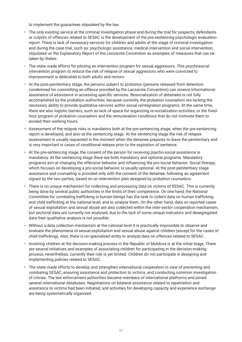to implement the guarantees stipulated by the law.

- The only existing service at the criminal investigation phase and during the trial for suspects, defendants or culprits of offences related to SESAC is the development of the pre-sentencing psychologic evaluation report. There is lack of necessary services for children and adults at the stage of criminal investigation and during the case trial, such as: psychologic assistance, medical intervention and social intervention, stipulated un the Explanatory Report of the Lanzarote Convention as examples of measures that can be taken by States.
- The state made efforts for piloting an intervention program for sexual aggressors. This psychosocial intervention program to reduce the risk of relapse of sexual aggressors who were convicted to imprisonment is dedicated to both adults and minors.
- At the post-penitentiary stage, the persons subject to probation (persons released from detention, condemned for committing an offence provided by the Lanzarote Convention) can receive informational assistance of assistance in accessing specific services. Resocialization of detainees is not fully accomplished by the probation authorities, because currently, the probation counselors are lacking the necessary ability to provide qualitative services within social reintegration programs. At the same time, there are also logistic barriers, such as lack of space for organizing re-socialization activities, or the fixedhour program of probation counselors and the remuneration conditions that do not motivate them to exceed their working hours.
- Assessment of the relapse risks is mandatory both at the pre-sentencing stage, when the pre-sentencing report is developed, and also at the sentencing stage. At the sentencing stage the risk of relapse assessment is usually requested in the moment when the detainee prepares to leave the penitentiary and is very important in cases of conditional release prior to the expiration of sentence.
- At the pre-sentencing stage, the consent of the person for receiving psycho-social assistance is mandatory. At the sentencing stage there are both mandatory and optional programs. Mandatory programs aim at changing the offensive behavior and influencing the pro-social behavior. Social therapy, which focuses on developing a pro-social behavior, is usually optional. At the post-penitentiary stage assistance and counseling is provided only with the consent of the detainee, following an agreement signed by the two parties, based on an intervention plan designed by probation counselors.
- There is no unique mechanism for collecting and processing data on victims of SESAC. This is currently being done by several public authorities in the limits of their competence. On one hand, the National Committee for combating trafficking in human beings has the task to collect data on human trafficking and child trafficking at the national level, and to analyze them. On the other hand, data on reported cases of sexual exploitation and sexual abuse are also collected within the inter-sector cooperation mechanism, but sectorial data are currently not analyzed, due to the lack of some unique indicators and desegregated data their qualitative analysis is not possible.
- Without a data collection mechanism at the national level it is practically impossible to observe and evaluate the phenomena of sexual exploitation and sexual abuse against children (except for the cases of child trafficking). Also, there is no specialized entity to analyze data on offences related to SESAC.
- Involving children at the decision-making process in the Republic of Moldova is at the initial stage. There are several initiatives and examples of associating children for participating in the decision-making process, nevertheless, currently their role is yet limited. Children do not participate in designing and implementing policies related to SESAC.
- The state made efforts to develop and strengthen international cooperation in view of preventing and combating SESAC, ensuring assistance and protection to victims, and conducting common investigation of crimes. The law enforcement authorities became members of international platforms and joined several international databases. Negotiations on bilateral assistance related to repatriation and assistance to victims had been initiated, and activities for developing capacity and experience exchange are being systematically organized.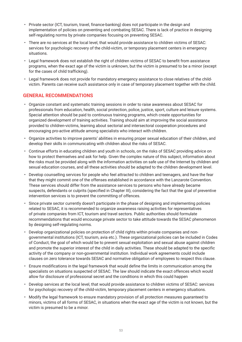- Private sector (ICT, tourism, travel, finance-banking) does not participate in the design and implementation of policies on preventing and combating SESAC. There is lack of practice in designing self-regulating norms by private companies focusing on preventing SESAC.
- There are no services at the local level, that would provide assistance to children victims of SESAC: services for psychologic recovery of the child-victim, or temporary placement centers in emergency situations.
- Legal framework does not establish the right of children victims of SESAC to benefit from assistance programs, when the exact age of the victim is unknown, but the victim is presumed to be a minor (except for the cases of child trafficking).
- Legal framework does not provide for mandatory emergency assistance to close relatives of the childvictim. Parents can receive such assistance only in case of temporary placement together with the child.

## **GENERAL RECOMMENDATIONS**

- Organize constant and systematic training sessions in order to raise awareness about SESAC for professionals from education, health, social protection, police, justice, sport, culture and leisure systems. Special attention should be paid to continuous training programs, which create opportunities for organized development of training activities. Training should aim at improving the social assistance provided to children-victims, learning about sectorial and intersectoral cooperation procedures and encouraging pro-active attitude among specialists who interact with children.
- Organize activities to improve parents' abilities in ensuring proper sexual education of their children, and develop their skills in communicating with children about the risks of SESAC.
- Continue efforts in educating children and youth in schools, on the risks of SESAC providing advice on how to protect themselves and ask for help. Given the complex nature of this subject, information about the risks must be provided along with the information activities on safe use of the Internet by children and sexual education courses, and all these activities should be adapted to the children development level.
- Develop counselling services for people who feel attracted to children and teenagers, and have the fear that they might commit one of the offenses established in accordance with the Lanzarote Convention. These services should differ from the assistance services to persons who have already became suspects, defendants or culprits (specified in Chapter III), considering the fact that the goal of preventive intervention services is to prevent the committing of offences.
- Since private sector currently doesn't participate in the phase of designing and implementing policies related to SESAC, it is recommended to organize awareness raising activities for representatives of private companies from ICT, tourism and travel sectors. Public authorities should formulate recommendations that would encourage private sector to take attitude towards the SESAC phenomenon by designing self-regulating norms.
- Develop organizational policies on protection of child rights within private companies and nongovernmental institutions (ICT, tourism, avia etc.). These organizational policies can be included in Codes of Conduct, the goal of which would be to prevent sexual exploitation and sexual abuse against children and promote the superior interest of the child in daily activities. These should be adapted to the specific activity of the company or non-governmental institution. Individual work agreements could include clauses on zero tolerance towards SESAC and normative obligation of employees to respect this clause.
- Ensure modifications in the legal framework that would define the limits in communication among the specialists on situations suspected of SESAC. The law should indicate the exact offences which would allow for disclosure of professional secret and the conditions in which this could happen
- Develop services at the local level, that would provide assistance to children victims of SESAC: services for psychologic recovery of the child-victim, temporary placement centers in emergency situations.
- Modify the legal framework to ensure mandatory provision of all protection measures guaranteed to minors, victims of all forms of SESAC, in situations when the exact age of the victim is not known, but the victim is presumed to be a minor.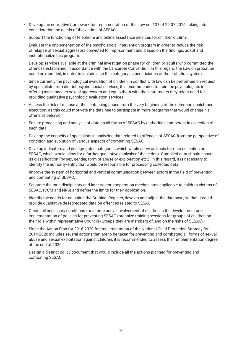- Develop the normative framework for implementation of the Law no. 137 of 29.07.2016, taking into consideration the needs of the victims of SESAC.
- Support the functioning of telephone and online assistance services for children-victims.
- Evaluate the implementation of the psycho-social intervention program in order to reduce the risk of relapse of sexual aggressors convicted to imprisonment and, based on the findings, adapt and institutionalize this program.
- Develop services available at the criminal investigation phase for children or adults who committed the offences established in accordance with the Lanzarote Convention. In this regard, the Law on probation could be modified, in order to include also this category as beneficiaries of the probation system.
- Since currently the psychological evaluation of children in conflict with law can be performed on request by specialists from district psycho-social services, it is recommended to train the psychologists in offering assistance to sexual aggressors and equip them with the instruments they might need for providing qualitative psychologic evaluation services.
- Assess the risk of relapse at the sentencing phase from the very beginning of the detention punishment execution, as this could motivate the detainee to participate in more programs that would change his offensive behavior.
- Ensure processing and analysis of data on all forms of SESAC by authorities competent in collection of such data.
- Develop the capacity of specialists in analyzing data related to offences of SESAC from the perspective of condition and evolution of various aspects of combating SESAC.
- Develop indicators and desegregated categories which would serve as basis for data collection on SESAC, which would allow for a further qualitative analysis of these data. Compiled data should ensure its classification (by sex, gender, form of abuse or exploitation etc.). In this regard, it is necessary to identify the authority/entity that would be responsible for processing collected data.
- Improve the system of horizontal and vertical communication between actors in the field of prevention and combating of SESAC.
- Separate the multidisciplinary and inter-sector cooperation mechanisms applicable to children-victims of SESAC, (CCM and NRS) and define the limits for their application.
- Identify the needs for adjusting the Criminal Register, develop and adjust the database, so that it could provide qualitative desegregated data on offences related to SESAC.
- Create all necessary conditions for a more active involvement of children in the development and implementation of policies for preventing SESAC (organize training sessions for groups of children on their role within representative Councils/Groups they are members of, and on the risks of SESAC).
- Since the Action Plan for 2016-2020 for implementation of the National Child Protection Strategy for 2014-2020 includes several actions that are to be taken for preventing and combating all forms of sexual abuse and sexual exploitation against children, it is recommended to assess their implementation degree at the end of 2020.
- Design a distinct policy document that would include all the actions planned for preventing and combating SESAC.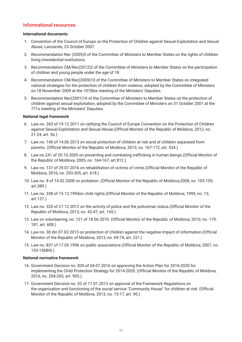#### **Informational resources**

#### **International documents**

- 1. Convention of the Council of Europe on the Protection of Children against Sexual Exploitation and Sexual Abuse, Lanzarote, 25 October 2007.
- 2. Recommendation Rec (2005)5 of the Committee of Ministers to Member States on the rights of children living inresidential institutions.
- 3. Recommendation CM/Rec(2012)2 of the Committee of Ministers to Member States on the participation of children and young people under the age of 18.
- 4. Recommendation CM/Rec(2009)10 of the Committee of Ministers to Member States on integrated national strategies for the protection of children from violence, adopted by the Committee of Ministers on 18 November 2009 at the 1070bis meeting of the Ministers' Deputies.
- 5. Recommendation Rec(2001)16 of the Committee of Ministers to Member States on the protection of children against sexual exploitation, adopted by the Committee of Ministers on 31 October 2001 at the 771s meeting of the Ministers' Deputies.

#### **National legal framework**

- 6. Law no. 263 of 19.12.2011 on ratifying the Council of Europe Convention on the Protection of Children against Sexual Exploitation and Sexual Abuse.(Official Monitor of the Republic of Moldova, 2012, no. 21-24, art. 56.)
- 7. Law no. 140 of 14.06.2013 on social protection of children at risk and of children separated from parents. (Official Monitor of the Republic of Moldova, 2013, no. 167-172, art. 534.)
- 8. Law no.241 of 20.10.2005 on preventing and combating trafficking in human beings.(Official Monitor of the Republic of Moldova, 2005, no. 164-167, art.812.)
- 9. Law no. 137 of 29.07.2016 on rehabilitation of victims of crime.(Official Monitor of the Republic of Moldova, 2016, no. 293-305, art. 618.)
- 10. Law no. 8 of 14.02.2008 on probation. (Official Monitor of the Republic of Moldova,2008, no. 103-105, art.389.)
- 11. Law no. 338 of 15.12.1994on child rights.(Official Monitor of the Republic of Moldova, 1995, no. 13, art.127.)
- 12. Law no. 320 of 27.12.2012 on the activity of police and the policeman status.(Official Monitor of the Republic of Moldova, 2013, no. 42-47, art. 145.).
- 13. Law on volunteering, no. 121 of 18.06.2010. (Official Monitor of the Republic of Moldova, 2010, no. 179- 181, art. 608.)
- 14. Law no. 30 din 07.03.2013 on protection of children against the negative impact of information.(Official Monitor of the Republic of Moldova, 2013, no. 69-74, art. 221.)
- 15. Law no. 837 of 17.05.1996 on public associations.(Official Monitor of the Republic of Moldova, 2007, no. 153-156BIS.)

#### **National normative framework**

- 16. Government Decision no. 835 of 04.07.2016 on approving the Action Plan for 2016-2020 for implementing the Child Protection Strategy for 2014-2020. (Official Monitor of the Republic of Moldova, 2016, no. 204-205, art. 905.)
- 17. Government Decision no. 52 of 17.01.2013 on approval of the Framework Regulations on the organization and functioning of the social service "Community House" for children at risk. (Official Monitor of the Republic of Moldova, 2013, no. 15-17, art. 90.)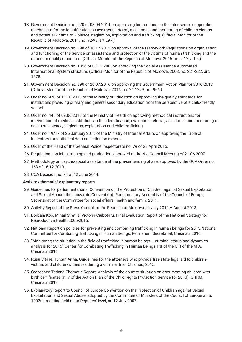- 18. Government Decision no. 270 of 08.04.2014 on approving Instructions on the inter-sector cooperation mechanism for the identification, assessment, referral, assistance and monitoring of children victims and potential victims of violence, neglection, exploitation and trafficking. (Official Monitor of the Republic of Moldova, 2014, no. 92-98, art.297.)
- 19. Government Decision no. 898 of 30.12.2015 on approval of the Framework Regulations on organization and functioning of the Service on assistance and protection of the victims of human trafficking and the minimum quality standards. (Official Monitor of the Republic of Moldova, 2016, no. 2-12, art.5.)
- 20. Government Decision no. 1356 of 03.12.2008on approving the Social Assistance Automated Informational System structure. (Official Monitor of the Republic of Moldova, 2008, no. 221-222, art. 1378.)
- 21. Government Decision no. 890 of 20.07.2016 on approving the Government Action Plan for 2016-2018. (Official Monitor of the Republic of Moldova, 2016, no. 217-229, art. 966.)
- 22. Order no. 970 of 11.10.2013 of the Ministry of Education on approving the quality standards for institutions providing primary and general secondary education from the perspective of a child-friendly school.
- 23. Order no. 445 of 09.06.2015 of the Ministry of Health on approving methodical instructions for intervention of medical institutions in the identification, evaluation, referral, assistance and monitoring of cases of violence, neglection, exploitation and child trafficking.
- 24. Order no. 19/17 of 26 January 2015 of the Ministry of Internal Affairs on approving the Table of Indicators for statistical data collection on minors.
- 25. Order of the Head of the General Police Inspectorate no. 79 of 28 April 2015.
- 26. Regulations on initial training and graduation, approved at the NIJ Council Meeting of 21.06.2007.
- 27. Methodology on psycho-social assistance at the pre-sentencing phase, approved by the OCP Order no. 163 of 16.12.2013.
- 28. CCA Decision no. 74 of 12 June 2014.

#### **Activity / thematic/ explanatory reports**

- 29. Guidelines for parliamentarians. Convention on the Protection of Children against Sexual Exploitation and Sexual Abuse (the Lanzarote Convention). Parliamentary Assembly of the Council of Europe, Secretariat of the Committee for social affairs, health and family, 2011.
- 30. Activity Report of the Press Council of the Republic of Moldova for July 2012 August 2013.
- 31. Borbala Koo, Mihail Stratila, Victoria Ciubotaru. Final Evaluation Report of the National Strategy for Reproductive Health 2005-2015.
- 32. National Report on policies for preventing and combating trafficking in human beings for 2015.National Committee for Combating Trafficking in Human Beings, Permanent Secretariat, Chisinau, 2016.
- 33. "Monitoring the situation in the field of trafficking in human beings criminal status and dynamics analysis for 2015".Center for Combating Trafficking in Human Beings, INI of the GPI of the MIA, Chisinau, 2016.
- 34. Rusu Vitalie, Turcan Arina. Guidelines for the attorneys who provide free state legal aid to childrenvictims and children-witnesses during a criminal trial. Chisinau, 2015.
- 35. Crescenco Tatiana.Thematic Report: Analysis of the country situation on documenting children with birth certificates (it. 7 of the Action Plan of the Child Rights Protection Service for 2013). CHRM, Chisinau, 2013.
- 36. Explanatory Report to Council of Europe Convention on the Protection of Children against Sexual Exploitation and Sexual Abuse, adopted by the Committee of Ministers of the Council of Europe at its 1002nd meeting held at its Deputies' level, on 12 July 2007.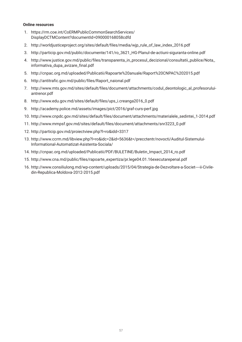#### **Online resources**

- 1. https://rm.coe.int/CoERMPublicCommonSearchServices/ DisplayDCTMContent?documentId=090000168058cdfd
- 2. http://worldjusticeproject.org/sites/default/files/media/wjp\_rule\_of\_law\_index\_2016.pdf
- 3. http://particip.gov.md/public/documente/141/ro\_3621\_HG-Planul-de-actiuni-siguranta-online.pdf
- 4. http://www.justice.gov.md/public/files/transparenta\_in\_procesul\_decizional/consultatii\_publice/Nota\_ informativa\_dupa\_avizare\_final.pdf
- 5. http://cnpac.org.md/uploaded/Publicatii/Rapoarte%20anuale/Raport%20CNPAC%202015.pdf
- 6. http://antitrafic.gov.md/public/files/Raport\_naional.pdf
- 7. http://www.mts.gov.md/sites/default/files/document/attachments/codul\_deontologic\_al\_profesoruluiantrenor.pdf
- 8. http://www.edu.gov.md/sites/default/files/ups\_i.creanga2016\_0.pdf
- 9. http://academy.police.md/assets/images/pict/2016/graf-curs-perf.jpg
- 10. http://www.cnpdc.gov.md/sites/default/files/document/attachments/materialele\_sedintei\_1-2014.pdf
- 11. http://www.mmpsf.gov.md/sites/default/files/document/attachments/snr3223\_0.pdf
- 12. http://particip.gov.md/proiectview.php?l=ro&idd=3317
- 13. http://www.ccrm.md/libview.php?l=ro&idc=2&id=5636&t=/precctentr/novocti/Auditul-Sistemului-Informational-Automatizat-Asistenta-Sociala/
- 14. http://cnpac.org.md/uploaded/Publicatii/PDF/BULETINE/Buletin\_Impact\_2014\_ro.pdf
- 15. http://www.cna.md/public/files/rapoarte\_expertiza/pr.lege04.01.16executarepenal.pdf
- 16. http://www.consiliulong.md/wp-content/uploads/2015/04/Strategia-de-Dezvoltare-a-Societ----ii-Civiledin-Republica-Moldova-2012-2015.pdf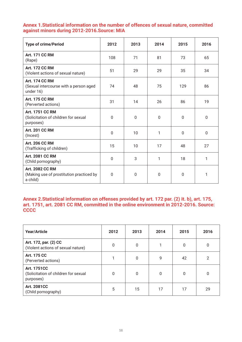## **Annex 1.Statistical information on the number of offences of sexual nature, committed against minors during 2012-2016.Source: MIA**

| <b>Type of crime/Period</b>                                                    | 2012         | 2013         | 2014         | 2015         | 2016         |
|--------------------------------------------------------------------------------|--------------|--------------|--------------|--------------|--------------|
| <b>Art. 171 CC RM</b><br>(Rape)                                                | 108          | 71           | 81           | 73           | 65           |
| <b>Art. 172 CC RM</b><br>(Violent actions of sexual nature)                    | 51           | 29           | 29           | 35           | 34           |
| <b>Art. 174 CC RM</b><br>(Sexual intercourse with a person aged<br>under 16)   | 74           | 48           | 75           | 129          | 86           |
| <b>Art. 175 CC RM</b><br>(Perverted actions)                                   | 31           | 14           | 26           | 86           | 19           |
| <b>Art. 1751 CC RM</b><br>(Solicitation of children for sexual<br>purposes)    | 0            | $\mathbf{0}$ | $\mathbf{0}$ | $\mathbf{0}$ | $\mathbf{0}$ |
| <b>Art. 201 CC RM</b><br>(Incest)                                              | $\mathbf{0}$ | 10           | 1            | $\Omega$     | $\mathbf{0}$ |
| <b>Art. 206 CC RM</b><br>(Trafficking of children)                             | 15           | 10           | 17           | 48           | 27           |
| <b>Art. 2081 CC RM</b><br>(Child pornography)                                  | 0            | 3            | 1            | 18           | 1            |
| <b>Art. 2082 CC RM</b><br>(Making use of prostitution practiced by<br>a child) | $\mathbf{0}$ | $\mathbf{0}$ | $\mathbf 0$  | $\mathbf{0}$ | 1            |

## **Annex 2.Statistical information on offenses provided by art. 172 par. (2) it. b), art. 175, art. 1751, art. 2081 CC RM, committed in the online environment in 2012-2016. Source: CCCC**

| <b>Year/Article</b>                                                     | 2012         | 2013     | 2014 | 2015 | 2016           |
|-------------------------------------------------------------------------|--------------|----------|------|------|----------------|
| Art. 172, par. (2) CC<br>(Violent actions of sexual nature)             | 0            | $\Omega$ | 1    | 0    | 0              |
| <b>Art. 175 CC</b><br>(Perverted actions)                               |              | 0        | 9    | 42   | $\overline{2}$ |
| <b>Art. 1751CC</b><br>(Solicitation of children for sexual<br>purposes) | $\mathbf{0}$ | 0        | 0    | 0    | 0              |
| <b>Art. 2081CC</b><br>(Child pornography)                               | 5            | 15       | 17   | 17   | 29             |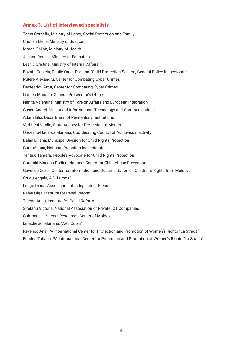#### **Annex 3. List of interviewed specialists**

Tarus Corneliu, Ministry of Labor, Social Protection and Family Cristian Elena, Ministry of Justice Morari Galina, Ministry of Health Josanu Rodica, Ministry of Education Lesnic Cristina, Ministry of Internal Affairs Buzatu Daniela, Public Order Division /Child Protection Section, General Police Inspectorate Putere Alexandru, Center for Combating Cyber Crimes Decteariov Artur, Center for Combating Cyber Crimes Gornea Mariana, General Prosecutor's Office Nenita Valentina, Ministry of Foreign Affairs and European Integration Cusca Andrei, Ministry of Informational Technology and Communications Adam Iulia, Department of Penitentiary Institutions Verbitchi Vitalie, State Agency for Protection of Morals Onceanu-Hadarcă Mariana, Coordinating Council of Audiovisual activity Balan Liliana, Municipal Division for Child Rights Protection GarbuAliona, National Probation Inspectorate Tentiuc Tamara, People's Advocate for Child Rights Protection Coretchi-Mocanu Rodica, National Center for Child Abuse Prevention Gavriliuc Cezar, Center for Information and Documentation on Children's Rights from Moldova Crudu Angela, AO "Lumos" Lungu Diana, Association of Independent Press Rabei Olga, Institute for Penal Reform Turcan Arina, Institute for Penal Reform Siretanu Victoria, National Association of Private ICT Companies Chirtoaca Ilie, Legal Resources Center of Moldova Ianachevici Mariana, "AVE Copiii" Revenco Ana, PA International Center for Protection and Promotion of Women's Rights "La Strada"

Fomina Tatiana, PA International Center for Protection and Promotion of Women's Rights "La Strada"